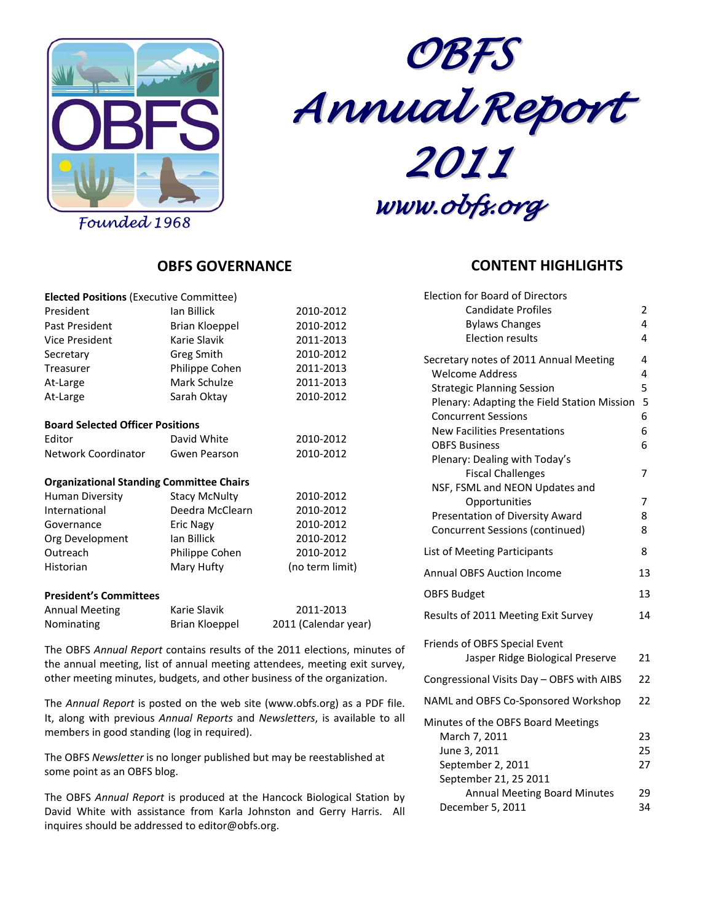

*OBFS Annual Report 2011*

*www.obfs.org*

Election for Board of Directors

# **OBFS GOVERNANCE**

| <b>Elected Positions (Executive Committee)</b>  |                       |                 |
|-------------------------------------------------|-----------------------|-----------------|
| President                                       | Ian Billick           | 2010-2012       |
| Past President                                  | <b>Brian Kloeppel</b> | 2010-2012       |
| Vice President                                  | Karie Slavik          | 2011-2013       |
| Secretary                                       | Greg Smith            | 2010-2012       |
| Treasurer                                       | Philippe Cohen        | 2011-2013       |
| At-Large                                        | Mark Schulze          | 2011-2013       |
| At-Large                                        | Sarah Oktay           | 2010-2012       |
| <b>Board Selected Officer Positions</b>         |                       |                 |
| Editor                                          | David White           | 2010-2012       |
| Network Coordinator                             | Gwen Pearson          | 2010-2012       |
| <b>Organizational Standing Committee Chairs</b> |                       |                 |
| Human Diversity                                 | <b>Stacy McNulty</b>  | 2010-2012       |
| International                                   | Deedra McClearn       | 2010-2012       |
| Governance                                      | <b>Eric Nagy</b>      | 2010-2012       |
| Org Development                                 | lan Billick           | 2010-2012       |
| Outreach                                        | Philippe Cohen        | 2010-2012       |
| Historian                                       | Mary Hufty            | (no term limit) |
| <b>President's Committees</b>                   |                       |                 |
|                                                 |                       |                 |

| <b>Annual Meeting</b> | Karie Slavik   | 2011-2013            |
|-----------------------|----------------|----------------------|
| <b>Nominating</b>     | Brian Kloeppel | 2011 (Calendar year) |

The OBFS *Annual Report* contains results of the 2011 elections, minutes of the annual meeting, list of annual meeting attendees, meeting exit survey, other meeting minutes, budgets, and other business of the organization.

The *Annual Report* is posted on the web site (www.obfs.org) as a PDF file. It, along with previous *Annual Reports* and *Newsletters*, is available to all members in good standing (log in required).

The OBFS *Newsletter* is no longer published but may be reestablished at some point as an OBFS blog.

The OBFS *Annual Report* is produced at the Hancock Biological Station by David White with assistance from Karla Johnston and Gerry Harris. All inquires should be addressed to editor@obfs.org.

## **CONTENT HIGHLIGHTS**

| Liection for Board of Directors                            |    |
|------------------------------------------------------------|----|
| <b>Candidate Profiles</b>                                  | 2  |
| <b>Bylaws Changes</b>                                      | 4  |
| <b>Election results</b>                                    | 4  |
| Secretary notes of 2011 Annual Meeting                     | 4  |
| <b>Welcome Address</b>                                     | 4  |
| <b>Strategic Planning Session</b>                          | 5  |
| Plenary: Adapting the Field Station Mission                | 5  |
| <b>Concurrent Sessions</b>                                 | 6  |
| <b>New Facilities Presentations</b>                        | 6  |
| <b>OBFS Business</b>                                       | 6  |
| Plenary: Dealing with Today's                              | 7  |
| <b>Fiscal Challenges</b><br>NSF, FSML and NEON Updates and |    |
| Opportunities                                              | 7  |
| Presentation of Diversity Award                            | 8  |
| <b>Concurrent Sessions (continued)</b>                     | 8  |
|                                                            | 8  |
| List of Meeting Participants                               |    |
| <b>Annual OBFS Auction Income</b>                          | 13 |
| <b>OBFS Budget</b>                                         | 13 |
| Results of 2011 Meeting Exit Survey                        | 14 |
| <b>Friends of OBFS Special Event</b>                       |    |
| Jasper Ridge Biological Preserve                           | 21 |
| Congressional Visits Day - OBFS with AIBS                  | 22 |
| NAML and OBFS Co-Sponsored Workshop                        | 22 |
| Minutes of the OBFS Board Meetings                         |    |
| March 7, 2011                                              | 23 |
| June 3, 2011                                               | 25 |
| September 2, 2011                                          | 27 |
| September 21, 25 2011                                      |    |
| <b>Annual Meeting Board Minutes</b>                        | 29 |
| December 5, 2011                                           | 34 |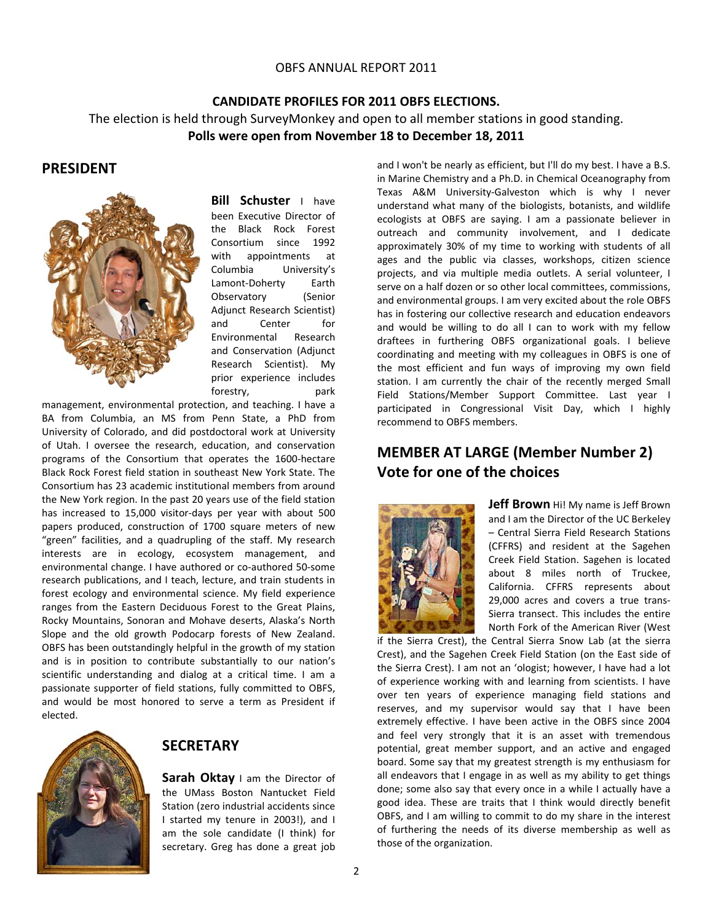## **CANDIDATE PROFILES FOR 2011 OBFS ELECTIONS.**  The election is held through SurveyMonkey and open to all member stations in good standing. **Polls were open from November 18 to December 18, 2011**

## **PRESIDENT**



**Bill Schuster** I have been Executive Director of the Black Rock Forest Consortium since 1992 with appointments at Columbia University's Lamont‐Doherty Earth Observatory (Senior Adjunct Research Scientist) and Center for Environmental Research and Conservation (Adjunct Research Scientist). My prior experience includes forestry, park

management, environmental protection, and teaching. I have a BA from Columbia, an MS from Penn State, a PhD from University of Colorado, and did postdoctoral work at University of Utah. I oversee the research, education, and conservation programs of the Consortium that operates the 1600‐hectare Black Rock Forest field station in southeast New York State. The Consortium has 23 academic institutional members from around the New York region. In the past 20 years use of the field station has increased to 15,000 visitor-days per year with about 500 papers produced, construction of 1700 square meters of new "green" facilities, and a quadrupling of the staff. My research interests are in ecology, ecosystem management, and environmental change. I have authored or co‐authored 50‐some research publications, and I teach, lecture, and train students in forest ecology and environmental science. My field experience ranges from the Eastern Deciduous Forest to the Great Plains, Rocky Mountains, Sonoran and Mohave deserts, Alaska's North Slope and the old growth Podocarp forests of New Zealand. OBFS has been outstandingly helpful in the growth of my station and is in position to contribute substantially to our nation's scientific understanding and dialog at a critical time. I am a passionate supporter of field stations, fully committed to OBFS, and would be most honored to serve a term as President if elected.



## **SECRETARY**

**Sarah Oktay** I am the Director of the UMass Boston Nantucket Field Station (zero industrial accidents since I started my tenure in 2003!), and I am the sole candidate (I think) for secretary. Greg has done a great job

and I won't be nearly as efficient, but I'll do my best. I have a B.S. in Marine Chemistry and a Ph.D. in Chemical Oceanography from Texas A&M University‐Galveston which is why I never understand what many of the biologists, botanists, and wildlife ecologists at OBFS are saying. I am a passionate believer in outreach and community involvement, and I dedicate approximately 30% of my time to working with students of all ages and the public via classes, workshops, citizen science projects, and via multiple media outlets. A serial volunteer, I serve on a half dozen or so other local committees, commissions, and environmental groups. I am very excited about the role OBFS has in fostering our collective research and education endeavors and would be willing to do all I can to work with my fellow draftees in furthering OBFS organizational goals. I believe coordinating and meeting with my colleagues in OBFS is one of the most efficient and fun ways of improving my own field station. I am currently the chair of the recently merged Small Field Stations/Member Support Committee. Last year I participated in Congressional Visit Day, which I highly recommend to OBFS members.

## **MEMBER AT LARGE (Member Number 2) Vote for one of the choices**



**Jeff Brown** Hi! My name is Jeff Brown and I am the Director of the UC Berkeley – Central Sierra Field Research Stations (CFFRS) and resident at the Sagehen Creek Field Station. Sagehen is located about 8 miles north of Truckee, California. CFFRS represents about 29,000 acres and covers a true trans‐ Sierra transect. This includes the entire North Fork of the American River (West

if the Sierra Crest), the Central Sierra Snow Lab (at the sierra Crest), and the Sagehen Creek Field Station (on the East side of the Sierra Crest). I am not an 'ologist; however, I have had a lot of experience working with and learning from scientists. I have over ten years of experience managing field stations and reserves, and my supervisor would say that I have been extremely effective. I have been active in the OBFS since 2004 and feel very strongly that it is an asset with tremendous potential, great member support, and an active and engaged board. Some say that my greatest strength is my enthusiasm for all endeavors that I engage in as well as my ability to get things done; some also say that every once in a while I actually have a good idea. These are traits that I think would directly benefit OBFS, and I am willing to commit to do my share in the interest of furthering the needs of its diverse membership as well as those of the organization.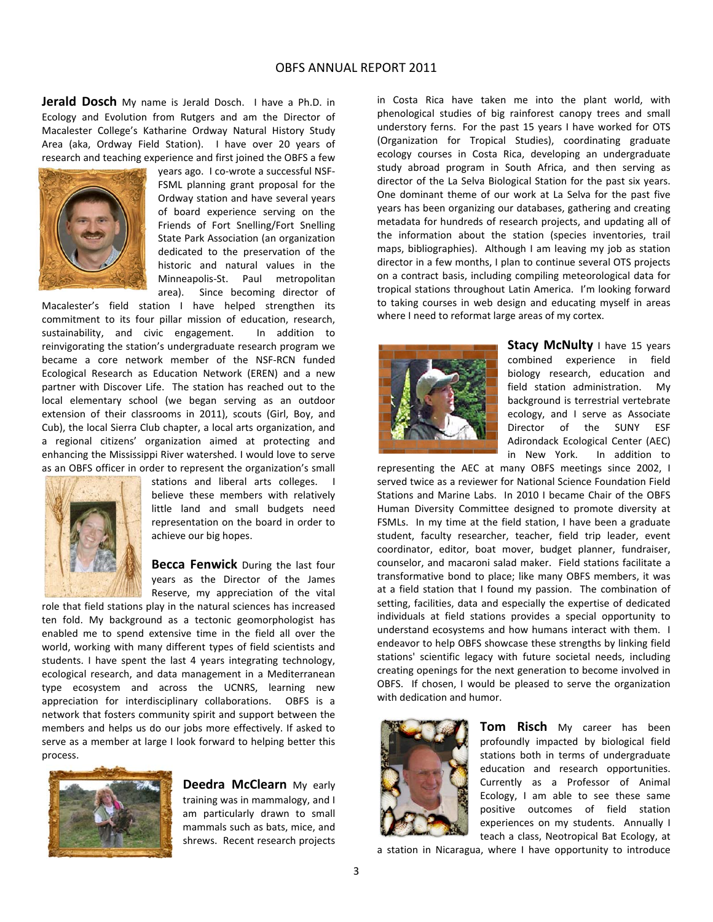**Jerald Dosch** My name is Jerald Dosch. I have a Ph.D. in Ecology and Evolution from Rutgers and am the Director of Macalester College's Katharine Ordway Natural History Study Area (aka, Ordway Field Station). I have over 20 years of research and teaching experience and first joined the OBFS a few



years ago. I co‐wrote a successful NSF‐ FSML planning grant proposal for the Ordway station and have several years of board experience serving on the Friends of Fort Snelling/Fort Snelling State Park Association (an organization dedicated to the preservation of the historic and natural values in the Minneapolis‐St. Paul metropolitan area). Since becoming director of

Macalester's field station I have helped strengthen its commitment to its four pillar mission of education, research, sustainability, and civic engagement. In addition to reinvigorating the station's undergraduate research program we became a core network member of the NSF‐RCN funded Ecological Research as Education Network (EREN) and a new partner with Discover Life. The station has reached out to the local elementary school (we began serving as an outdoor extension of their classrooms in 2011), scouts (Girl, Boy, and Cub), the local Sierra Club chapter, a local arts organization, and a regional citizens' organization aimed at protecting and enhancing the Mississippi River watershed. I would love to serve as an OBFS officer in order to represent the organization's small



stations and liberal arts colleges. I believe these members with relatively little land and small budgets need representation on the board in order to achieve our big hopes.

**Becca Fenwick** During the last four years as the Director of the James Reserve, my appreciation of the vital

role that field stations play in the natural sciences has increased ten fold. My background as a tectonic geomorphologist has enabled me to spend extensive time in the field all over the world, working with many different types of field scientists and students. I have spent the last 4 years integrating technology, ecological research, and data management in a Mediterranean type ecosystem and across the UCNRS, learning new appreciation for interdisciplinary collaborations. OBFS is a network that fosters community spirit and support between the members and helps us do our jobs more effectively. If asked to serve as a member at large I look forward to helping better this process.



**Deedra McClearn** My early training was in mammalogy, and I am particularly drawn to small mammals such as bats, mice, and shrews. Recent research projects

in Costa Rica have taken me into the plant world, with phenological studies of big rainforest canopy trees and small understory ferns. For the past 15 years I have worked for OTS (Organization for Tropical Studies), coordinating graduate ecology courses in Costa Rica, developing an undergraduate study abroad program in South Africa, and then serving as director of the La Selva Biological Station for the past six years. One dominant theme of our work at La Selva for the past five years has been organizing our databases, gathering and creating metadata for hundreds of research projects, and updating all of the information about the station (species inventories, trail maps, bibliographies). Although I am leaving my job as station director in a few months, I plan to continue several OTS projects on a contract basis, including compiling meteorological data for tropical stations throughout Latin America. I'm looking forward to taking courses in web design and educating myself in areas where I need to reformat large areas of my cortex.



**Stacy McNulty** I have 15 years combined experience in field biology research, education and field station administration. My background is terrestrial vertebrate ecology, and I serve as Associate Director of the SUNY ESF Adirondack Ecological Center (AEC) in New York. In addition to

representing the AEC at many OBFS meetings since 2002, I served twice as a reviewer for National Science Foundation Field Stations and Marine Labs. In 2010 I became Chair of the OBFS Human Diversity Committee designed to promote diversity at FSMLs. In my time at the field station, I have been a graduate student, faculty researcher, teacher, field trip leader, event coordinator, editor, boat mover, budget planner, fundraiser, counselor, and macaroni salad maker. Field stations facilitate a transformative bond to place; like many OBFS members, it was at a field station that I found my passion. The combination of setting, facilities, data and especially the expertise of dedicated individuals at field stations provides a special opportunity to understand ecosystems and how humans interact with them. I endeavor to help OBFS showcase these strengths by linking field stations' scientific legacy with future societal needs, including creating openings for the next generation to become involved in OBFS. If chosen, I would be pleased to serve the organization with dedication and humor.



**Tom Risch** My career has been profoundly impacted by biological field stations both in terms of undergraduate education and research opportunities. Currently as a Professor of Animal Ecology, I am able to see these same positive outcomes of field station experiences on my students. Annually I teach a class, Neotropical Bat Ecology, at

a station in Nicaragua, where I have opportunity to introduce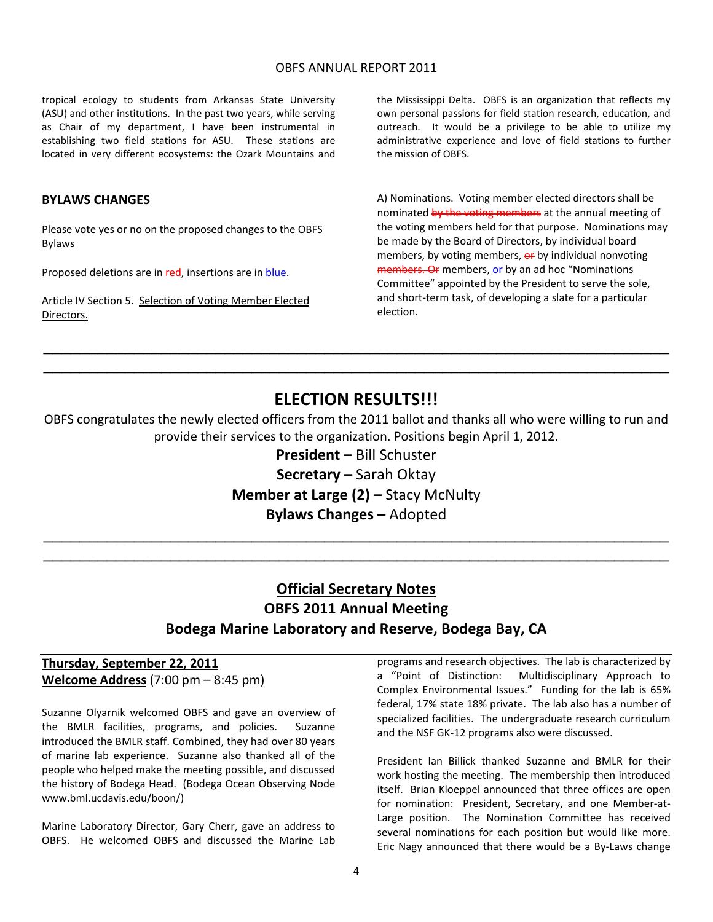tropical ecology to students from Arkansas State University (ASU) and other institutions. In the past two years, while serving as Chair of my department, I have been instrumental in establishing two field stations for ASU. These stations are located in very different ecosystems: the Ozark Mountains and

### **BYLAWS CHANGES**

Please vote yes or no on the proposed changes to the OBFS Bylaws

Proposed deletions are in red, insertions are in blue.

Article IV Section 5. Selection of Voting Member Elected Directors.

the Mississippi Delta. OBFS is an organization that reflects my own personal passions for field station research, education, and outreach. It would be a privilege to be able to utilize my administrative experience and love of field stations to further the mission of OBFS.

A) Nominations. Voting member elected directors shall be nominated by the voting members at the annual meeting of the voting members held for that purpose. Nominations may be made by the Board of Directors, by individual board members, by voting members, or by individual nonvoting members. Or members, or by an ad hoc "Nominations Committee" appointed by the President to serve the sole, and short‐term task, of developing a slate for a particular election.

## **ELECTION RESULTS!!!**

\_\_\_\_\_\_\_\_\_\_\_\_\_\_\_\_\_\_\_\_\_\_\_\_\_\_\_\_\_\_\_\_\_\_\_\_\_\_\_\_\_\_\_\_\_\_\_\_\_\_\_\_\_\_\_\_\_\_\_\_\_\_\_\_\_\_\_\_\_ \_\_\_\_\_\_\_\_\_\_\_\_\_\_\_\_\_\_\_\_\_\_\_\_\_\_\_\_\_\_\_\_\_\_\_\_\_\_\_\_\_\_\_\_\_\_\_\_\_\_\_\_\_\_\_\_\_\_\_\_\_\_\_\_\_\_\_\_\_

OBFS congratulates the newly elected officers from the 2011 ballot and thanks all who were willing to run and provide their services to the organization. Positions begin April 1, 2012.

> **President –** Bill Schuster **Secretary –** Sarah Oktay **Member at Large (2) –** Stacy McNulty **Bylaws Changes –** Adopted

\_\_\_\_\_\_\_\_\_\_\_\_\_\_\_\_\_\_\_\_\_\_\_\_\_\_\_\_\_\_\_\_\_\_\_\_\_\_\_\_\_\_\_\_\_\_\_\_\_\_\_\_\_\_\_\_\_\_\_\_\_\_\_\_\_\_\_\_\_ \_\_\_\_\_\_\_\_\_\_\_\_\_\_\_\_\_\_\_\_\_\_\_\_\_\_\_\_\_\_\_\_\_\_\_\_\_\_\_\_\_\_\_\_\_\_\_\_\_\_\_\_\_\_\_\_\_\_\_\_\_\_\_\_\_\_\_\_\_

## **Official Secretary Notes OBFS 2011 Annual Meeting Bodega Marine Laboratory and Reserve, Bodega Bay, CA**

## **Thursday, September 22, 2011 Welcome Address** (7:00 pm – 8:45 pm)

Suzanne Olyarnik welcomed OBFS and gave an overview of the BMLR facilities, programs, and policies. Suzanne introduced the BMLR staff. Combined, they had over 80 years of marine lab experience. Suzanne also thanked all of the people who helped make the meeting possible, and discussed the history of Bodega Head. (Bodega Ocean Observing Node www.bml.ucdavis.edu/boon/)

Marine Laboratory Director, Gary Cherr, gave an address to OBFS. He welcomed OBFS and discussed the Marine Lab programs and research objectives. The lab is characterized by a "Point of Distinction: Multidisciplinary Approach to Complex Environmental Issues." Funding for the lab is 65% federal, 17% state 18% private. The lab also has a number of specialized facilities. The undergraduate research curriculum and the NSF GK‐12 programs also were discussed.

President Ian Billick thanked Suzanne and BMLR for their work hosting the meeting. The membership then introduced itself. Brian Kloeppel announced that three offices are open for nomination: President, Secretary, and one Member-at-Large position. The Nomination Committee has received several nominations for each position but would like more. Eric Nagy announced that there would be a By‐Laws change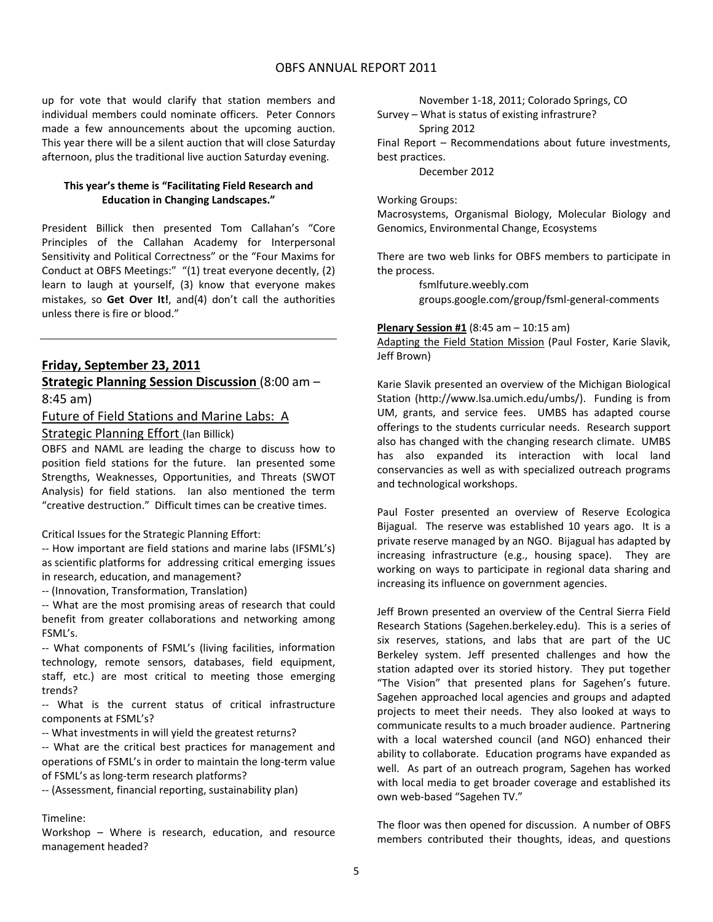up for vote that would clarify that station members and individual members could nominate officers. Peter Connors made a few announcements about the upcoming auction. This year there will be a silent auction that will close Saturday afternoon, plus the traditional live auction Saturday evening.

### **This year's theme is "Facilitating Field Research and Education in Changing Landscapes."**

President Billick then presented Tom Callahan's "Core Principles of the Callahan Academy for Interpersonal Sensitivity and Political Correctness" or the "Four Maxims for Conduct at OBFS Meetings:" "(1) treat everyone decently, (2) learn to laugh at yourself, (3) know that everyone makes mistakes, so **Get Over It!**, and(4) don't call the authorities unless there is fire or blood."

### **Friday, September 23, 2011**

**Strategic Planning Session Discussion** (8:00 am – 8:45 am)

## Future of Field Stations and Marine Labs: A

### Strategic Planning Effort (Ian Billick)

OBFS and NAML are leading the charge to discuss how to position field stations for the future. Ian presented some Strengths, Weaknesses, Opportunities, and Threats (SWOT Analysis) for field stations. Ian also mentioned the term "creative destruction." Difficult times can be creative times.

Critical Issues for the Strategic Planning Effort:

‐‐ How important are field stations and marine labs (IFSML's) as scientific platforms for addressing critical emerging issues in research, education, and management?

‐‐ (Innovation, Transformation, Translation)

‐‐ What are the most promising areas of research that could benefit from greater collaborations and networking among FSML's.

‐‐ What components of FSML's (living facilities, information technology, remote sensors, databases, field equipment, staff, etc.) are most critical to meeting those emerging trends?

‐‐ What is the current status of critical infrastructure components at FSML's?

‐‐ What investments in will yield the greatest returns?

‐‐ What are the critical best practices for management and operations of FSML's in order to maintain the long‐term value of FSML's as long‐term research platforms?

‐‐ (Assessment, financial reporting, sustainability plan)

### Timeline:

Workshop – Where is research, education, and resource management headed?

November 1‐18, 2011; Colorado Springs, CO

Survey – What is status of existing infrastrure? Spring 2012

Final Report – Recommendations about future investments, best practices.

December 2012

Working Groups:

Macrosystems, Organismal Biology, Molecular Biology and Genomics, Environmental Change, Ecosystems

There are two web links for OBFS members to participate in the process.

> fsmlfuture.weebly.com groups.google.com/group/fsml‐general‐comments

#### **Plenary Session #1** (8:45 am – 10:15 am)

Adapting the Field Station Mission (Paul Foster, Karie Slavik, Jeff Brown)

Karie Slavik presented an overview of the Michigan Biological Station (http://www.lsa.umich.edu/umbs/). Funding is from UM, grants, and service fees. UMBS has adapted course offerings to the students curricular needs. Research support also has changed with the changing research climate. UMBS has also expanded its interaction with local land conservancies as well as with specialized outreach programs and technological workshops.

Paul Foster presented an overview of Reserve Ecologica Bijagual. The reserve was established 10 years ago. It is a private reserve managed by an NGO. Bijagual has adapted by increasing infrastructure (e.g., housing space). They are working on ways to participate in regional data sharing and increasing its influence on government agencies.

Jeff Brown presented an overview of the Central Sierra Field Research Stations (Sagehen.berkeley.edu). This is a series of six reserves, stations, and labs that are part of the UC Berkeley system. Jeff presented challenges and how the station adapted over its storied history. They put together "The Vision" that presented plans for Sagehen's future. Sagehen approached local agencies and groups and adapted projects to meet their needs. They also looked at ways to communicate results to a much broader audience. Partnering with a local watershed council (and NGO) enhanced their ability to collaborate. Education programs have expanded as well. As part of an outreach program, Sagehen has worked with local media to get broader coverage and established its own web‐based "Sagehen TV."

The floor was then opened for discussion. A number of OBFS members contributed their thoughts, ideas, and questions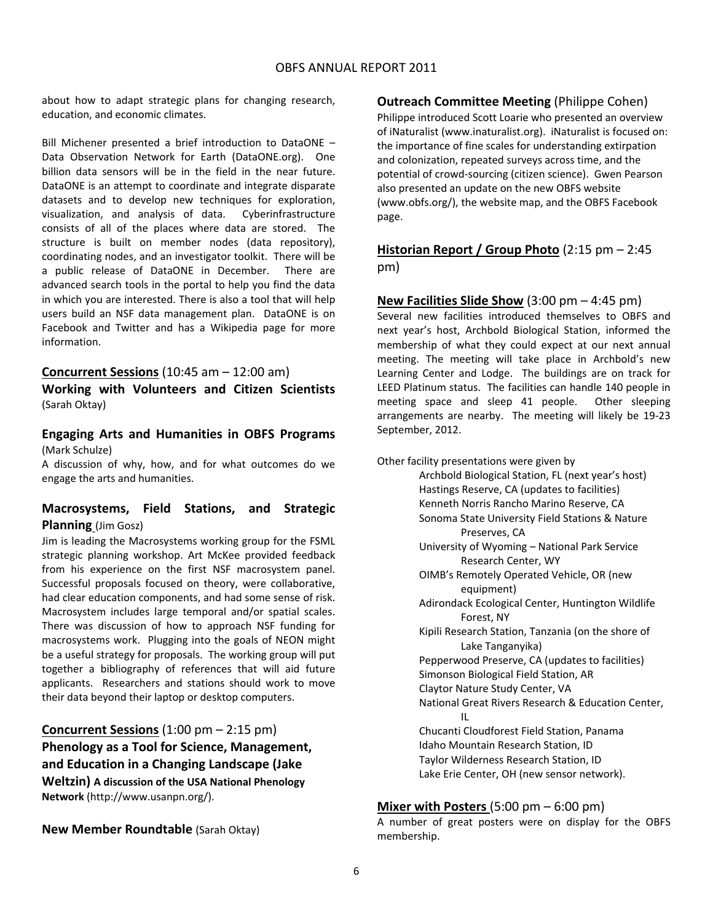about how to adapt strategic plans for changing research, education, and economic climates.

Bill Michener presented a brief introduction to DataONE – Data Observation Network for Earth (DataONE.org). One billion data sensors will be in the field in the near future. DataONE is an attempt to coordinate and integrate disparate datasets and to develop new techniques for exploration, visualization, and analysis of data. Cyberinfrastructure consists of all of the places where data are stored. The structure is built on member nodes (data repository), coordinating nodes, and an investigator toolkit. There will be a public release of DataONE in December. There are advanced search tools in the portal to help you find the data in which you are interested. There is also a tool that will help users build an NSF data management plan. DataONE is on Facebook and Twitter and has a Wikipedia page for more information.

### **Concurrent Sessions** (10:45 am – 12:00 am)

**Working with Volunteers and Citizen Scientists** (Sarah Oktay)

**Engaging Arts and Humanities in OBFS Programs** (Mark Schulze)

A discussion of why, how, and for what outcomes do we engage the arts and humanities.

## **Macrosystems, Field Stations, and Strategic Planning** (Jim Gosz)

Jim is leading the Macrosystems working group for the FSML strategic planning workshop. Art McKee provided feedback from his experience on the first NSF macrosystem panel. Successful proposals focused on theory, were collaborative, had clear education components, and had some sense of risk. Macrosystem includes large temporal and/or spatial scales. There was discussion of how to approach NSF funding for macrosystems work. Plugging into the goals of NEON might be a useful strategy for proposals. The working group will put together a bibliography of references that will aid future applicants. Researchers and stations should work to move their data beyond their laptop or desktop computers.

## **Concurrent Sessions** (1:00 pm – 2:15 pm) **Phenology as a Tool for Science, Management, and Education in a Changing Landscape (Jake Weltzin) A discussion of the USA National Phenology**

**Network** (http://www.usanpn.org/).

**New Member Roundtable** (Sarah Oktay)

## **Outreach Committee Meeting** (Philippe Cohen)

Philippe introduced Scott Loarie who presented an overview of iNaturalist (www.inaturalist.org). iNaturalist is focused on: the importance of fine scales for understanding extirpation and colonization, repeated surveys across time, and the potential of crowd‐sourcing (citizen science). Gwen Pearson also presented an update on the new OBFS website (www.obfs.org/), the website map, and the OBFS Facebook page.

## **Historian Report / Group Photo** (2:15 pm – 2:45 pm)

**New Facilities Slide Show** (3:00 pm – 4:45 pm)

Several new facilities introduced themselves to OBFS and next year's host, Archbold Biological Station, informed the membership of what they could expect at our next annual meeting. The meeting will take place in Archbold's new Learning Center and Lodge. The buildings are on track for LEED Platinum status. The facilities can handle 140 people in meeting space and sleep 41 people. Other sleeping arrangements are nearby. The meeting will likely be 19-23 September, 2012.

Other facility presentations were given by Archbold Biological Station, FL (next year's host) Hastings Reserve, CA (updates to facilities) Kenneth Norris Rancho Marino Reserve, CA Sonoma State University Field Stations & Nature Preserves, CA University of Wyoming – National Park Service Research Center, WY OIMB's Remotely Operated Vehicle, OR (new equipment) Adirondack Ecological Center, Huntington Wildlife Forest, NY Kipili Research Station, Tanzania (on the shore of Lake Tanganyika) Pepperwood Preserve, CA (updates to facilities) Simonson Biological Field Station, AR Claytor Nature Study Center, VA National Great Rivers Research & Education Center, **IL Service State** Chucanti Cloudforest Field Station, Panama Idaho Mountain Research Station, ID Taylor Wilderness Research Station, ID Lake Erie Center, OH (new sensor network).

### **Mixer with Posters** (5:00 pm – 6:00 pm)

A number of great posters were on display for the OBFS membership.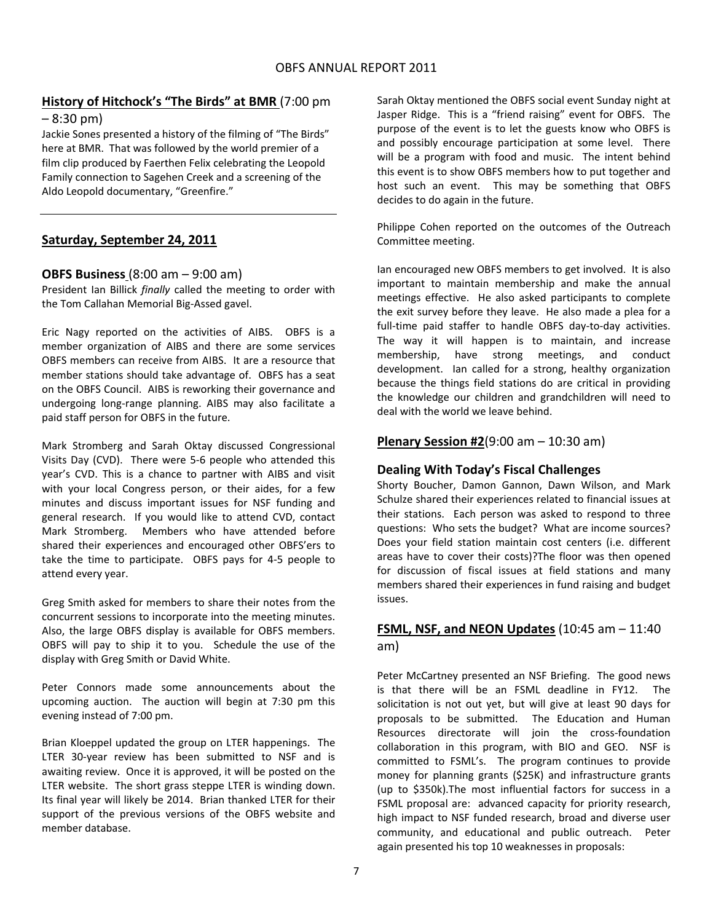## **History of Hitchock's "The Birds" at BMR** (7:00 pm

### $-8:30 \text{ pm}$

Jackie Sones presented a history of the filming of "The Birds" here at BMR. That was followed by the world premier of a film clip produced by Faerthen Felix celebrating the Leopold Family connection to Sagehen Creek and a screening of the Aldo Leopold documentary, "Greenfire."

## **Saturday, September 24, 2011**

## **OBFS Business** (8:00 am – 9:00 am)

President Ian Billick *finally* called the meeting to order with the Tom Callahan Memorial Big‐Assed gavel.

Eric Nagy reported on the activities of AIBS. OBFS is a member organization of AIBS and there are some services OBFS members can receive from AIBS. It are a resource that member stations should take advantage of. OBFS has a seat on the OBFS Council. AIBS is reworking their governance and undergoing long‐range planning. AIBS may also facilitate a paid staff person for OBFS in the future.

Mark Stromberg and Sarah Oktay discussed Congressional Visits Day (CVD). There were 5‐6 people who attended this year's CVD. This is a chance to partner with AIBS and visit with your local Congress person, or their aides, for a few minutes and discuss important issues for NSF funding and general research. If you would like to attend CVD, contact Mark Stromberg. Members who have attended before shared their experiences and encouraged other OBFS'ers to take the time to participate. OBFS pays for 4‐5 people to attend every year.

Greg Smith asked for members to share their notes from the concurrent sessions to incorporate into the meeting minutes. Also, the large OBFS display is available for OBFS members. OBFS will pay to ship it to you. Schedule the use of the display with Greg Smith or David White.

Peter Connors made some announcements about the upcoming auction. The auction will begin at 7:30 pm this evening instead of 7:00 pm.

Brian Kloeppel updated the group on LTER happenings. The LTER 30-year review has been submitted to NSF and is awaiting review. Once it is approved, it will be posted on the LTER website. The short grass steppe LTER is winding down. Its final year will likely be 2014. Brian thanked LTER for their support of the previous versions of the OBFS website and member database.

Sarah Oktay mentioned the OBFS social event Sunday night at Jasper Ridge. This is a "friend raising" event for OBFS. The purpose of the event is to let the guests know who OBFS is and possibly encourage participation at some level. There will be a program with food and music. The intent behind this event is to show OBFS members how to put together and host such an event. This may be something that OBFS decides to do again in the future.

Philippe Cohen reported on the outcomes of the Outreach Committee meeting.

Ian encouraged new OBFS members to get involved. It is also important to maintain membership and make the annual meetings effective. He also asked participants to complete the exit survey before they leave. He also made a plea for a full-time paid staffer to handle OBFS day-to-day activities. The way it will happen is to maintain, and increase membership, have strong meetings, and conduct development. Ian called for a strong, healthy organization because the things field stations do are critical in providing the knowledge our children and grandchildren will need to deal with the world we leave behind.

## **Plenary Session #2**(9:00 am – 10:30 am)

### **Dealing With Today's Fiscal Challenges**

Shorty Boucher, Damon Gannon, Dawn Wilson, and Mark Schulze shared their experiences related to financial issues at their stations. Each person was asked to respond to three questions: Who sets the budget? What are income sources? Does your field station maintain cost centers (i.e. different areas have to cover their costs)?The floor was then opened for discussion of fiscal issues at field stations and many members shared their experiences in fund raising and budget issues.

## **FSML, NSF, and NEON Updates** (10:45 am – 11:40 am)

Peter McCartney presented an NSF Briefing. The good news is that there will be an FSML deadline in FY12. The solicitation is not out yet, but will give at least 90 days for proposals to be submitted. The Education and Human Resources directorate will join the cross-foundation collaboration in this program, with BIO and GEO. NSF is committed to FSML's. The program continues to provide money for planning grants (\$25K) and infrastructure grants (up to \$350k).The most influential factors for success in a FSML proposal are: advanced capacity for priority research, high impact to NSF funded research, broad and diverse user community, and educational and public outreach. Peter again presented his top 10 weaknesses in proposals: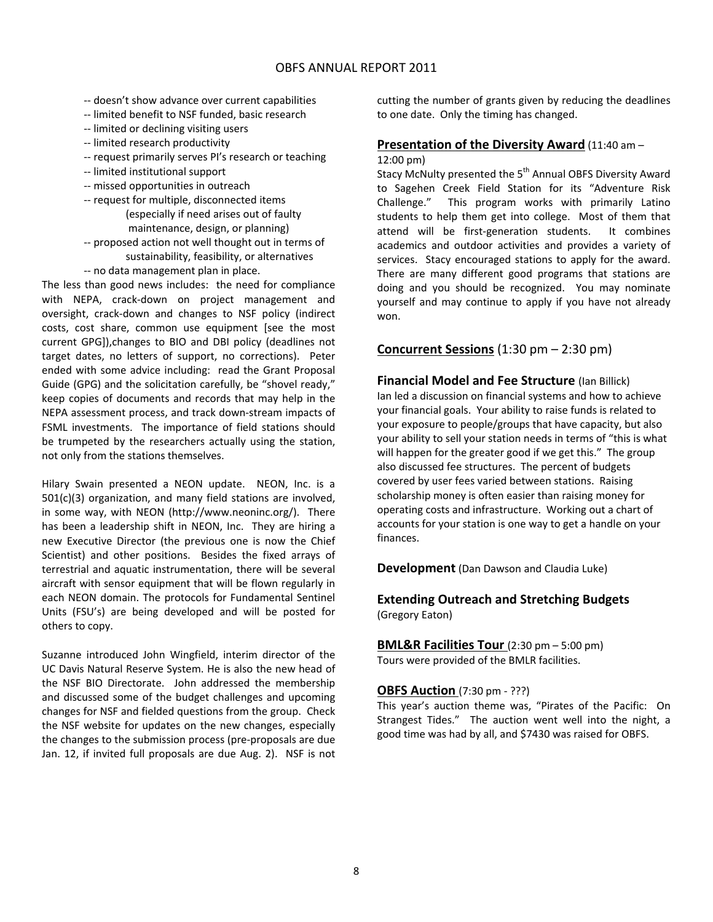- ‐‐ doesn't show advance over current capabilities
- ‐‐ limited benefit to NSF funded, basic research
- ‐‐ limited or declining visiting users
- ‐‐ limited research productivity
- ‐‐ request primarily serves PI's research or teaching
- ‐‐ limited institutional support
- ‐‐ missed opportunities in outreach
- ‐‐ request for multiple, disconnected items (especially if need arises out of faulty
- maintenance, design, or planning) ‐‐ proposed action not well thought out in terms of sustainability, feasibility, or alternatives
- ‐‐ no data management plan in place.

The less than good news includes: the need for compliance with NEPA, crack‐down on project management and oversight, crack‐down and changes to NSF policy (indirect costs, cost share, common use equipment [see the most current GPG]),changes to BIO and DBI policy (deadlines not target dates, no letters of support, no corrections). Peter ended with some advice including: read the Grant Proposal Guide (GPG) and the solicitation carefully, be "shovel ready," keep copies of documents and records that may help in the NEPA assessment process, and track down‐stream impacts of FSML investments. The importance of field stations should be trumpeted by the researchers actually using the station, not only from the stations themselves.

Hilary Swain presented a NEON update. NEON, Inc. is a 501(c)(3) organization, and many field stations are involved, in some way, with NEON (http://www.neoninc.org/). There has been a leadership shift in NEON, Inc. They are hiring a new Executive Director (the previous one is now the Chief Scientist) and other positions. Besides the fixed arrays of terrestrial and aquatic instrumentation, there will be several aircraft with sensor equipment that will be flown regularly in each NEON domain. The protocols for Fundamental Sentinel Units (FSU's) are being developed and will be posted for others to copy.

Suzanne introduced John Wingfield, interim director of the UC Davis Natural Reserve System. He is also the new head of the NSF BIO Directorate. John addressed the membership and discussed some of the budget challenges and upcoming changes for NSF and fielded questions from the group. Check the NSF website for updates on the new changes, especially the changes to the submission process (pre‐proposals are due Jan. 12, if invited full proposals are due Aug. 2). NSF is not

cutting the number of grants given by reducing the deadlines to one date. Only the timing has changed.

### **Presentation of the Diversity Award** (11:40 am –

12:00 pm)

Stacy McNulty presented the 5<sup>th</sup> Annual OBFS Diversity Award to Sagehen Creek Field Station for its "Adventure Risk Challenge." This program works with primarily Latino students to help them get into college. Most of them that attend will be first‐generation students. It combines academics and outdoor activities and provides a variety of services. Stacy encouraged stations to apply for the award. There are many different good programs that stations are doing and you should be recognized. You may nominate yourself and may continue to apply if you have not already won.

## **Concurrent Sessions** (1:30 pm – 2:30 pm)

**Financial Model and Fee Structure** (Ian Billick) Ian led a discussion on financial systems and how to achieve your financial goals. Your ability to raise funds is related to your exposure to people/groups that have capacity, but also your ability to sell your station needs in terms of "this is what will happen for the greater good if we get this." The group also discussed fee structures. The percent of budgets covered by user fees varied between stations. Raising scholarship money is often easier than raising money for operating costs and infrastructure. Working out a chart of accounts for your station is one way to get a handle on your finances.

**Development** (Dan Dawson and Claudia Luke)

## **Extending Outreach and Stretching Budgets** (Gregory Eaton)

**BML&R Facilities Tour** (2:30 pm – 5:00 pm) Tours were provided of the BMLR facilities.

### **OBFS Auction** (7:30 pm ‐ ???)

This year's auction theme was, "Pirates of the Pacific: On Strangest Tides." The auction went well into the night, a good time was had by all, and \$7430 was raised for OBFS.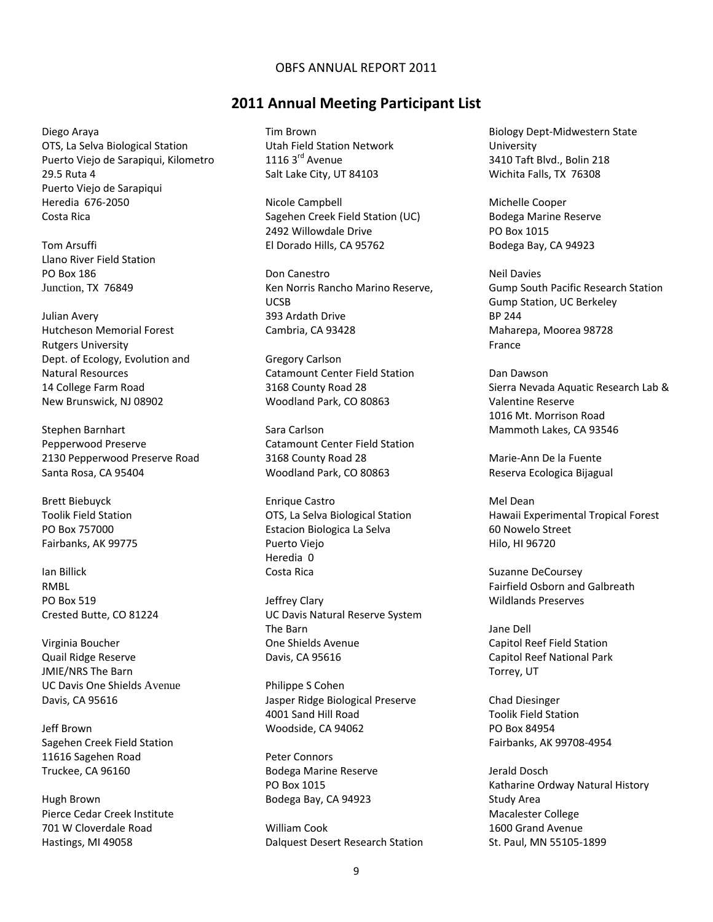## **2011 Annual Meeting Participant List**

Diego Araya OTS, La Selva Biological Station Puerto Viejo de Sarapiqui, Kilometro 29.5 Ruta 4 Puerto Viejo de Sarapiqui Heredia 676‐2050 Costa Rica

Tom Arsuffi Llano River Field Station PO Box 186 Junction, TX 76849

Julian Avery Hutcheson Memorial Forest Rutgers University Dept. of Ecology, Evolution and Natural Resources 14 College Farm Road New Brunswick, NJ 08902

Stephen Barnhart Pepperwood Preserve 2130 Pepperwood Preserve Road Santa Rosa, CA 95404

Brett Biebuyck Toolik Field Station PO Box 757000 Fairbanks, AK 99775

Ian Billick RMBL PO Box 519 Crested Butte, CO 81224

Virginia Boucher Quail Ridge Reserve JMIE/NRS The Barn UC Davis One Shields Avenue Davis, CA 95616

Jeff Brown Sagehen Creek Field Station 11616 Sagehen Road Truckee, CA 96160

Hugh Brown Pierce Cedar Creek Institute 701 W Cloverdale Road Hastings, MI 49058

Tim Brown Utah Field Station Network 1116 3<sup>rd</sup> Avenue Salt Lake City, UT 84103

Nicole Campbell Sagehen Creek Field Station (UC) 2492 Willowdale Drive El Dorado Hills, CA 95762

Don Canestro Ken Norris Rancho Marino Reserve, UCSB 393 Ardath Drive Cambria, CA 93428

Gregory Carlson Catamount Center Field Station 3168 County Road 28 Woodland Park, CO 80863

Sara Carlson Catamount Center Field Station 3168 County Road 28 Woodland Park, CO 80863

Enrique Castro OTS, La Selva Biological Station Estacion Biologica La Selva Puerto Viejo Heredia 0 Costa Rica

Jeffrey Clary UC Davis Natural Reserve System The Barn One Shields Avenue Davis, CA 95616

Philippe S Cohen Jasper Ridge Biological Preserve 4001 Sand Hill Road Woodside, CA 94062

Peter Connors Bodega Marine Reserve PO Box 1015 Bodega Bay, CA 94923

William Cook Dalquest Desert Research Station

Biology Dept‐Midwestern State University 3410 Taft Blvd., Bolin 218 Wichita Falls, TX 76308

Michelle Cooper Bodega Marine Reserve PO Box 1015 Bodega Bay, CA 94923

Neil Davies Gump South Pacific Research Station Gump Station, UC Berkeley BP 244 Maharepa, Moorea 98728 France

Dan Dawson Sierra Nevada Aquatic Research Lab & Valentine Reserve 1016 Mt. Morrison Road Mammoth Lakes, CA 93546

Marie‐Ann De la Fuente Reserva Ecologica Bijagual

Mel Dean Hawaii Experimental Tropical Forest 60 Nowelo Street Hilo, HI 96720

Suzanne DeCoursey Fairfield Osborn and Galbreath Wildlands Preserves

Jane Dell Capitol Reef Field Station Capitol Reef National Park Torrey, UT

Chad Diesinger Toolik Field Station PO Box 84954 Fairbanks, AK 99708‐4954

Jerald Dosch Katharine Ordway Natural History Study Area Macalester College 1600 Grand Avenue St. Paul, MN 55105‐1899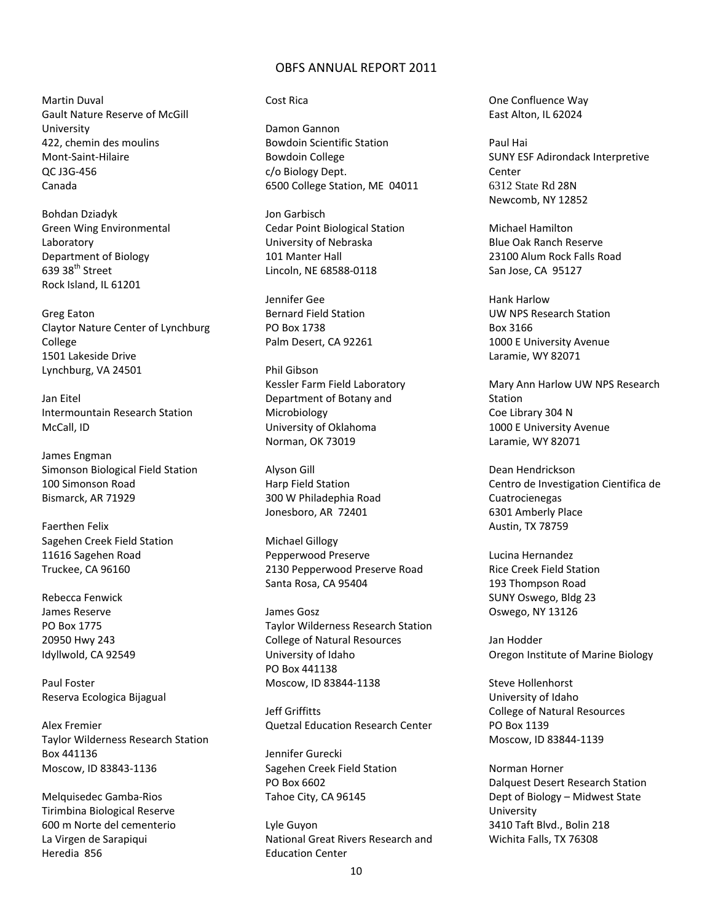Martin Duval Gault Nature Reserve of McGill University 422, chemin des moulins Mont‐Saint‐Hilaire QC J3G‐456 Canada

Bohdan Dziadyk Green Wing Environmental Laboratory Department of Biology  $639$  38<sup>th</sup> Street Rock Island, IL 61201

Greg Eaton Claytor Nature Center of Lynchburg College 1501 Lakeside Drive Lynchburg, VA 24501

Jan Eitel Intermountain Research Station McCall, ID

James Engman Simonson Biological Field Station 100 Simonson Road Bismarck, AR 71929

Faerthen Felix Sagehen Creek Field Station 11616 Sagehen Road Truckee, CA 96160

Rebecca Fenwick James Reserve PO Box 1775 20950 Hwy 243 Idyllwold, CA 92549

Paul Foster Reserva Ecologica Bijagual

Alex Fremier Taylor Wilderness Research Station Box 441136 Moscow, ID 83843‐1136

Melquisedec Gamba‐Rios Tirimbina Biological Reserve 600 m Norte del cementerio La Virgen de Sarapiqui Heredia 856

#### Cost Rica

Damon Gannon Bowdoin Scientific Station Bowdoin College c/o Biology Dept. 6500 College Station, ME 04011

Jon Garbisch Cedar Point Biological Station University of Nebraska 101 Manter Hall Lincoln, NE 68588‐0118

Jennifer Gee Bernard Field Station PO Box 1738 Palm Desert, CA 92261

Phil Gibson Kessler Farm Field Laboratory Department of Botany and Microbiology University of Oklahoma Norman, OK 73019

Alyson Gill Harp Field Station 300 W Philadephia Road Jonesboro, AR 72401

Michael Gillogy Pepperwood Preserve 2130 Pepperwood Preserve Road Santa Rosa, CA 95404

James Gosz Taylor Wilderness Research Station College of Natural Resources University of Idaho PO Box 441138 Moscow, ID 83844‐1138

Jeff Griffitts Quetzal Education Research Center

Jennifer Gurecki Sagehen Creek Field Station PO Box 6602 Tahoe City, CA 96145

Lyle Guyon National Great Rivers Research and Education Center

One Confluence Way East Alton, IL 62024

Paul Hai SUNY ESF Adirondack Interpretive Center 6312 State Rd 28N Newcomb, NY 12852

Michael Hamilton Blue Oak Ranch Reserve 23100 Alum Rock Falls Road San Jose, CA 95127

Hank Harlow UW NPS Research Station Box 3166 1000 E University Avenue Laramie, WY 82071

Mary Ann Harlow UW NPS Research Station Coe Library 304 N 1000 E University Avenue Laramie, WY 82071

Dean Hendrickson Centro de Investigation Cientifica de Cuatrocienegas 6301 Amberly Place Austin, TX 78759

Lucina Hernandez Rice Creek Field Station 193 Thompson Road SUNY Oswego, Bldg 23 Oswego, NY 13126

Jan Hodder Oregon Institute of Marine Biology

Steve Hollenhorst University of Idaho College of Natural Resources PO Box 1139 Moscow, ID 83844‐1139

Norman Horner Dalquest Desert Research Station Dept of Biology – Midwest State University 3410 Taft Blvd., Bolin 218 Wichita Falls, TX 76308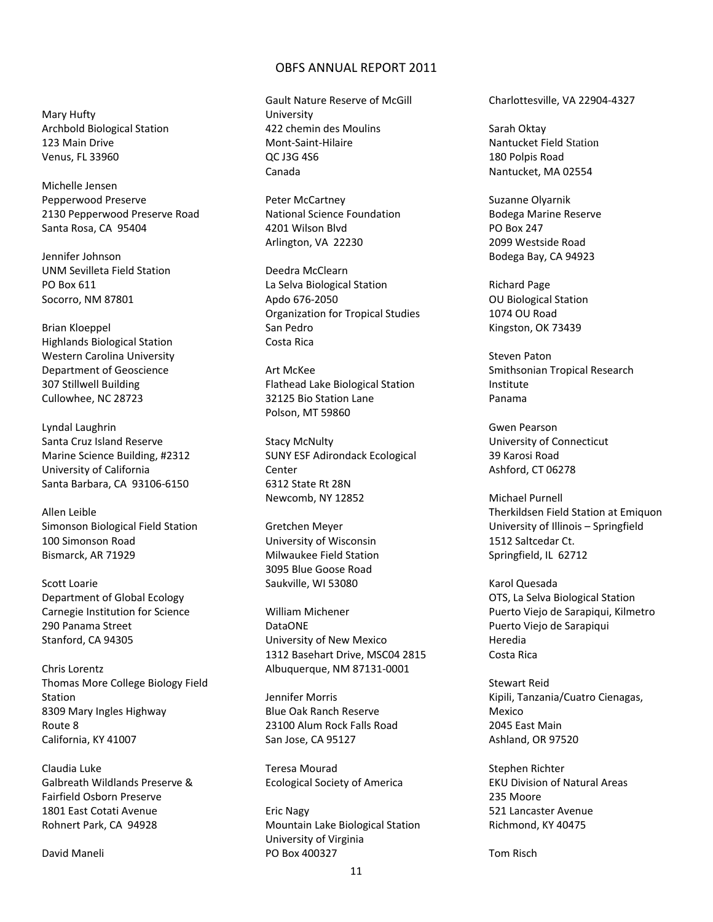Mary Hufty Archbold Biological Station 123 Main Drive Venus, FL 33960

Michelle Jensen Pepperwood Preserve 2130 Pepperwood Preserve Road Santa Rosa, CA 95404

Jennifer Johnson UNM Sevilleta Field Station PO Box 611 Socorro, NM 87801

Brian Kloeppel Highlands Biological Station Western Carolina University Department of Geoscience 307 Stillwell Building Cullowhee, NC 28723

Lyndal Laughrin Santa Cruz Island Reserve Marine Science Building, #2312 University of California Santa Barbara, CA 93106‐6150

Allen Leible Simonson Biological Field Station 100 Simonson Road Bismarck, AR 71929

Scott Loarie Department of Global Ecology Carnegie Institution for Science 290 Panama Street Stanford, CA 94305

Chris Lorentz Thomas More College Biology Field Station 8309 Mary Ingles Highway Route 8 California, KY 41007

Claudia Luke Galbreath Wildlands Preserve & Fairfield Osborn Preserve 1801 East Cotati Avenue Rohnert Park, CA 94928

David Maneli

Gault Nature Reserve of McGill University 422 chemin des Moulins Mont‐Saint‐Hilaire QC J3G 4S6 Canada

Peter McCartney National Science Foundation 4201 Wilson Blvd Arlington, VA 22230

Deedra McClearn La Selva Biological Station Apdo 676‐2050 Organization for Tropical Studies San Pedro Costa Rica

Art McKee Flathead Lake Biological Station 32125 Bio Station Lane Polson, MT 59860

Stacy McNulty SUNY ESF Adirondack Ecological Center 6312 State Rt 28N Newcomb, NY 12852

Gretchen Meyer University of Wisconsin Milwaukee Field Station 3095 Blue Goose Road Saukville, WI 53080

William Michener DataONE University of New Mexico 1312 Basehart Drive, MSC04 2815 Albuquerque, NM 87131‐0001

Jennifer Morris Blue Oak Ranch Reserve 23100 Alum Rock Falls Road San Jose, CA 95127

Teresa Mourad Ecological Society of America

Eric Nagy Mountain Lake Biological Station University of Virginia PO Box 400327

Charlottesville, VA 22904‐4327

Sarah Oktay Nantucket Field Station 180 Polpis Road Nantucket, MA 02554

Suzanne Olyarnik Bodega Marine Reserve PO Box 247 2099 Westside Road Bodega Bay, CA 94923

Richard Page OU Biological Station 1074 OU Road Kingston, OK 73439

Steven Paton Smithsonian Tropical Research Institute Panama

Gwen Pearson University of Connecticut 39 Karosi Road Ashford, CT 06278

Michael Purnell Therkildsen Field Station at Emiquon University of Illinois – Springfield 1512 Saltcedar Ct. Springfield, IL 62712

Karol Quesada OTS, La Selva Biological Station Puerto Viejo de Sarapiqui, Kilmetro Puerto Viejo de Sarapiqui Heredia Costa Rica

Stewart Reid Kipili, Tanzania/Cuatro Cienagas, Mexico 2045 East Main Ashland, OR 97520

Stephen Richter EKU Division of Natural Areas 235 Moore 521 Lancaster Avenue Richmond, KY 40475

Tom Risch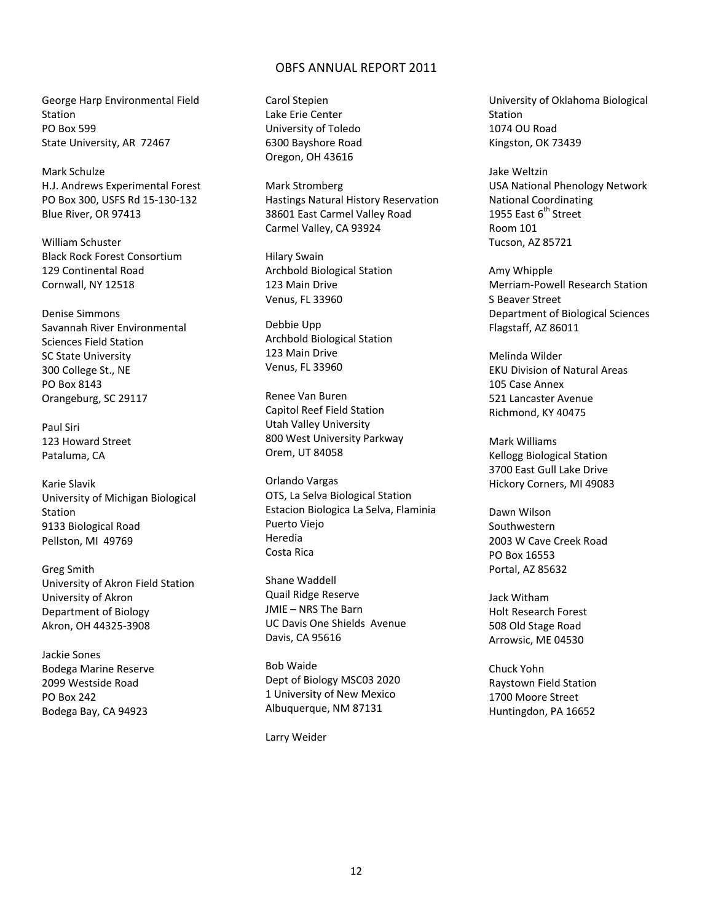George Harp Environmental Field Station PO Box 599 State University, AR 72467

Mark Schulze H.J. Andrews Experimental Forest PO Box 300, USFS Rd 15‐130‐132 Blue River, OR 97413

William Schuster Black Rock Forest Consortium 129 Continental Road Cornwall, NY 12518

Denise Simmons Savannah River Environmental Sciences Field Station SC State University 300 College St., NE PO Box 8143 Orangeburg, SC 29117

Paul Siri 123 Howard Street Pataluma, CA

Karie Slavik University of Michigan Biological Station 9133 Biological Road Pellston, MI 49769

Greg Smith University of Akron Field Station University of Akron Department of Biology Akron, OH 44325‐3908

Jackie Sones Bodega Marine Reserve 2099 Westside Road PO Box 242 Bodega Bay, CA 94923

Carol Stepien Lake Erie Center University of Toledo 6300 Bayshore Road Oregon, OH 43616

Mark Stromberg Hastings Natural History Reservation 38601 East Carmel Valley Road Carmel Valley, CA 93924

Hilary Swain Archbold Biological Station 123 Main Drive Venus, FL 33960

Debbie Upp Archbold Biological Station 123 Main Drive Venus, FL 33960

Renee Van Buren Capitol Reef Field Station Utah Valley University 800 West University Parkway Orem, UT 84058

Orlando Vargas OTS, La Selva Biological Station Estacion Biologica La Selva, Flaminia Puerto Viejo Heredia Costa Rica

Shane Waddell Quail Ridge Reserve JMIE – NRS The Barn UC Davis One Shields Avenue Davis, CA 95616

Bob Waide Dept of Biology MSC03 2020 1 University of New Mexico Albuquerque, NM 87131

Larry Weider

University of Oklahoma Biological Station 1074 OU Road Kingston, OK 73439

Jake Weltzin USA National Phenology Network National Coordinating 1955 East 6<sup>th</sup> Street Room 101 Tucson, AZ 85721

Amy Whipple Merriam‐Powell Research Station S Beaver Street Department of Biological Sciences Flagstaff, AZ 86011

Melinda Wilder EKU Division of Natural Areas 105 Case Annex 521 Lancaster Avenue Richmond, KY 40475

Mark Williams Kellogg Biological Station 3700 East Gull Lake Drive Hickory Corners, MI 49083

Dawn Wilson Southwestern 2003 W Cave Creek Road PO Box 16553 Portal, AZ 85632

Jack Witham Holt Research Forest 508 Old Stage Road Arrowsic, ME 04530

Chuck Yohn Raystown Field Station 1700 Moore Street Huntingdon, PA 16652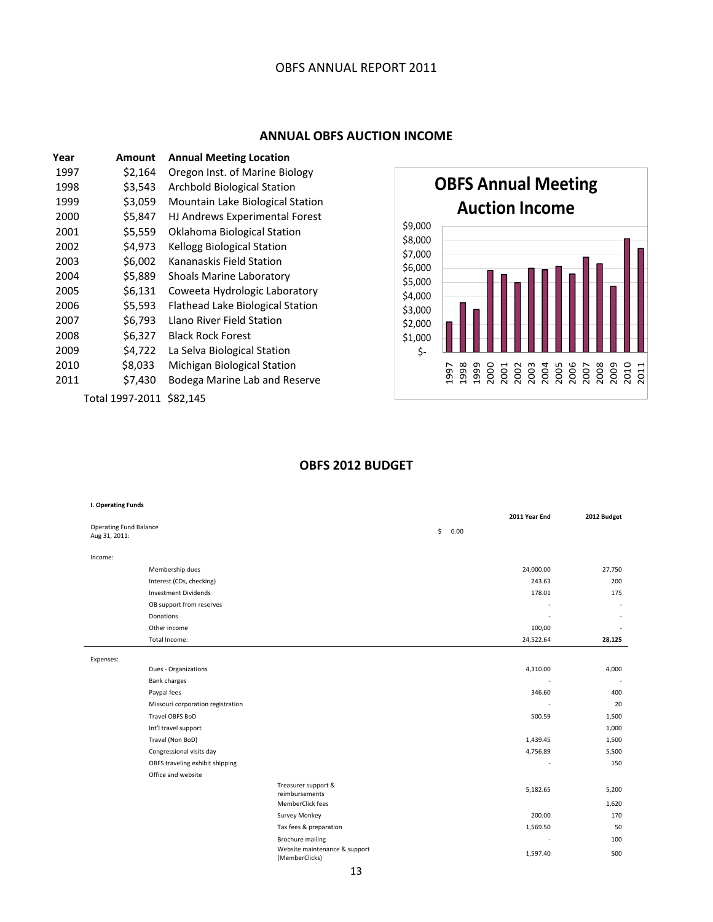## **ANNUAL OBFS AUCTION INCOME**

| Year | Amount          | <b>Annual Meeting Location</b>   |
|------|-----------------|----------------------------------|
| 1997 | \$2,164         | Oregon Inst. of Marine Biology   |
| 1998 | \$3,543         | Archbold Biological Station      |
| 1999 | \$3,059         | Mountain Lake Biological Station |
| 2000 | \$5,847         | HJ Andrews Experimental Forest   |
| 2001 | \$5,559         | Oklahoma Biological Station      |
| 2002 | \$4,973         | Kellogg Biological Station       |
| 2003 | \$6,002         | Kananaskis Field Station         |
| 2004 | \$5,889         | Shoals Marine Laboratory         |
| 2005 | \$6,131         | Coweeta Hydrologic Laboratory    |
| 2006 | \$5,593         | Flathead Lake Biological Station |
| 2007 | \$6,793         | Llano River Field Station        |
| 2008 | \$6,327         | <b>Black Rock Forest</b>         |
| 2009 | \$4,722         | La Selva Biological Station      |
| 2010 | \$8,033         | Michigan Biological Station      |
| 2011 | \$7,430         | Bodega Marine Lab and Reserve    |
|      | Total 1997-2011 | \$82,145                         |



## **OBFS 2012 BUDGET**

|                                                 |                                                                                                                          | 2011 Year End | 2012 Budget        |
|-------------------------------------------------|--------------------------------------------------------------------------------------------------------------------------|---------------|--------------------|
|                                                 | \$<br>0.00                                                                                                               |               |                    |
|                                                 |                                                                                                                          |               |                    |
|                                                 |                                                                                                                          |               |                    |
|                                                 |                                                                                                                          | 24,000.00     | 27,750             |
|                                                 |                                                                                                                          | 243.63        | 200                |
|                                                 |                                                                                                                          | 178.01        | 175                |
|                                                 |                                                                                                                          |               |                    |
|                                                 |                                                                                                                          |               |                    |
|                                                 |                                                                                                                          | 100,00        |                    |
|                                                 |                                                                                                                          | 24,522.64     | 28,125             |
|                                                 |                                                                                                                          |               |                    |
|                                                 |                                                                                                                          | 4,310.00      | 4,000              |
|                                                 |                                                                                                                          |               |                    |
|                                                 |                                                                                                                          | 346.60        | 400                |
|                                                 |                                                                                                                          |               | 20                 |
|                                                 |                                                                                                                          | 500.59        | 1,500              |
|                                                 |                                                                                                                          |               | 1,000              |
|                                                 |                                                                                                                          | 1,439.45      | 1,500              |
|                                                 |                                                                                                                          | 4,756.89      | 5,500              |
|                                                 |                                                                                                                          |               | 150                |
|                                                 |                                                                                                                          |               |                    |
|                                                 |                                                                                                                          | 5,182.65      | 5,200              |
|                                                 |                                                                                                                          |               | 1,620              |
|                                                 |                                                                                                                          |               | 170                |
|                                                 |                                                                                                                          |               | 50                 |
|                                                 |                                                                                                                          | ٠             | 100                |
| Website maintenance & support<br>(MemberClicks) |                                                                                                                          | 1,597.40      | 500                |
|                                                 | Treasurer support &<br>reimbursements<br>MemberClick fees<br>Survey Monkey<br>Tax fees & preparation<br>Brochure mailing |               | 200.00<br>1,569.50 |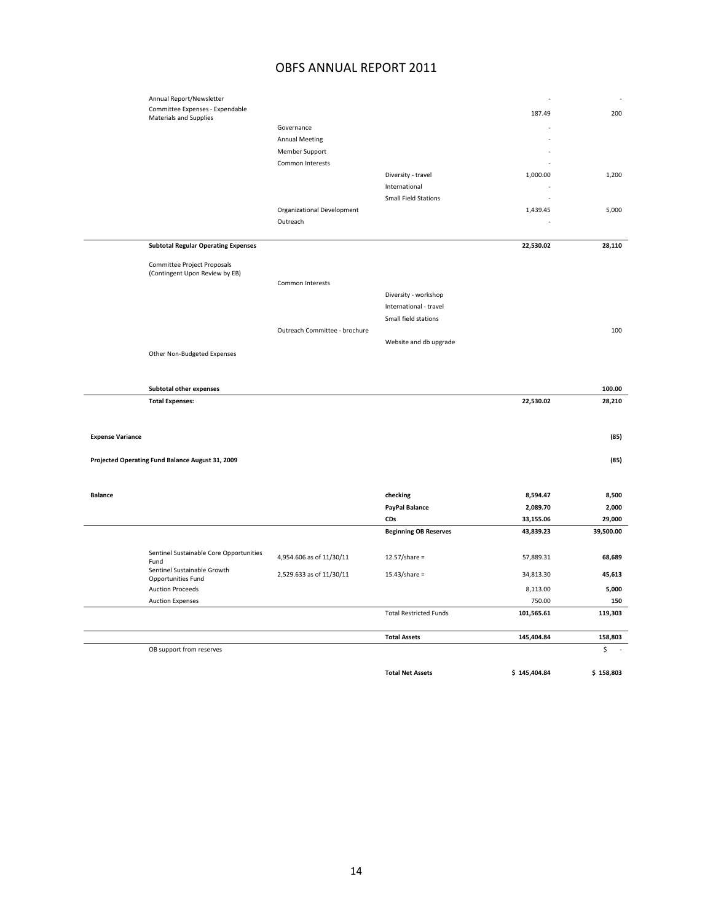|                         | Annual Report/Newsletter<br>Committee Expenses - Expendable   |                               |                                     |              |           |
|-------------------------|---------------------------------------------------------------|-------------------------------|-------------------------------------|--------------|-----------|
|                         | <b>Materials and Supplies</b>                                 |                               |                                     | 187.49       | 200       |
|                         |                                                               | Governance                    |                                     |              |           |
|                         |                                                               | <b>Annual Meeting</b>         |                                     |              |           |
|                         |                                                               | Member Support                |                                     |              |           |
|                         |                                                               | Common Interests              |                                     |              |           |
|                         |                                                               |                               | Diversity - travel<br>International | 1,000.00     | 1,200     |
|                         |                                                               |                               | <b>Small Field Stations</b>         |              |           |
|                         |                                                               | Organizational Development    |                                     | 1,439.45     | 5,000     |
|                         |                                                               | Outreach                      |                                     |              |           |
|                         |                                                               |                               |                                     |              |           |
|                         | <b>Subtotal Regular Operating Expenses</b>                    |                               |                                     | 22,530.02    | 28,110    |
|                         | Committee Project Proposals<br>(Contingent Upon Review by EB) |                               |                                     |              |           |
|                         |                                                               | Common Interests              |                                     |              |           |
|                         |                                                               |                               | Diversity - workshop                |              |           |
|                         |                                                               |                               | International - travel              |              |           |
|                         |                                                               |                               | Small field stations                |              |           |
|                         |                                                               | Outreach Committee - brochure |                                     |              | 100       |
|                         |                                                               |                               | Website and db upgrade              |              |           |
|                         | Other Non-Budgeted Expenses                                   |                               |                                     |              |           |
|                         |                                                               |                               |                                     |              |           |
|                         | Subtotal other expenses                                       |                               |                                     |              | 100.00    |
|                         | <b>Total Expenses:</b>                                        |                               |                                     | 22,530.02    | 28,210    |
|                         |                                                               |                               |                                     |              |           |
|                         |                                                               |                               |                                     |              |           |
| <b>Expense Variance</b> |                                                               |                               |                                     |              | (85)      |
|                         |                                                               |                               |                                     |              |           |
|                         | Projected Operating Fund Balance August 31, 2009              |                               |                                     |              | (85)      |
|                         |                                                               |                               |                                     |              |           |
| <b>Balance</b>          |                                                               |                               | checking                            | 8,594.47     | 8,500     |
|                         |                                                               |                               | PayPal Balance                      | 2,089.70     | 2,000     |
|                         |                                                               |                               | CDs                                 | 33,155.06    | 29,000    |
|                         |                                                               |                               | <b>Beginning OB Reserves</b>        | 43,839.23    | 39,500.00 |
|                         |                                                               |                               |                                     |              |           |
|                         | Sentinel Sustainable Core Opportunities<br>Fund               | 4,954.606 as of 11/30/11      | $12.57$ /share =                    | 57,889.31    | 68,689    |
|                         | Sentinel Sustainable Growth                                   | 2,529.633 as of 11/30/11      | $15.43$ /share =                    | 34,813.30    | 45,613    |
|                         | Opportunities Fund<br><b>Auction Proceeds</b>                 |                               |                                     | 8,113.00     | 5,000     |
|                         | <b>Auction Expenses</b>                                       |                               |                                     | 750.00       | 150       |
|                         |                                                               |                               | <b>Total Restricted Funds</b>       | 101,565.61   | 119,303   |
|                         |                                                               |                               |                                     |              |           |
|                         |                                                               |                               | <b>Total Assets</b>                 | 145,404.84   | 158,803   |
|                         | OB support from reserves                                      |                               |                                     |              | \$        |
|                         |                                                               |                               | <b>Total Net Assets</b>             | \$145,404.84 | \$158,803 |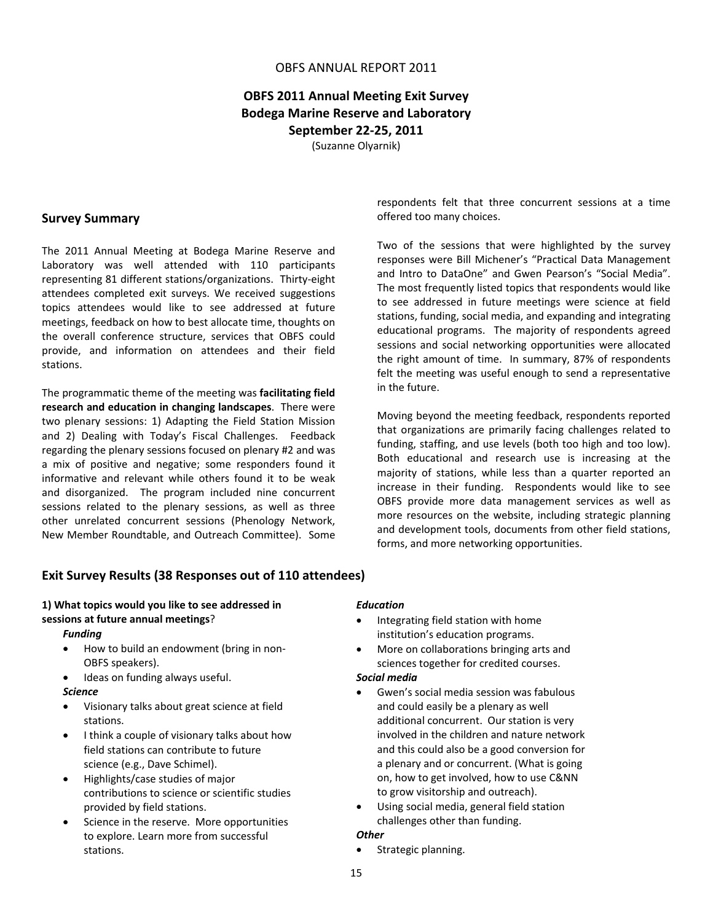## **OBFS 2011 Annual Meeting Exit Survey Bodega Marine Reserve and Laboratory September 22‐25, 2011**

(Suzanne Olyarnik)

### **Survey Summary**

The 2011 Annual Meeting at Bodega Marine Reserve and Laboratory was well attended with 110 participants representing 81 different stations/organizations. Thirty‐eight attendees completed exit surveys. We received suggestions topics attendees would like to see addressed at future meetings, feedback on how to best allocate time, thoughts on the overall conference structure, services that OBFS could provide, and information on attendees and their field stations.

The programmatic theme of the meeting was **facilitating field research and education in changing landscapes**. There were two plenary sessions: 1) Adapting the Field Station Mission and 2) Dealing with Today's Fiscal Challenges. Feedback regarding the plenary sessions focused on plenary #2 and was a mix of positive and negative; some responders found it informative and relevant while others found it to be weak and disorganized. The program included nine concurrent sessions related to the plenary sessions, as well as three other unrelated concurrent sessions (Phenology Network, New Member Roundtable, and Outreach Committee). Some respondents felt that three concurrent sessions at a time offered too many choices.

Two of the sessions that were highlighted by the survey responses were Bill Michener's "Practical Data Management and Intro to DataOne" and Gwen Pearson's "Social Media". The most frequently listed topics that respondents would like to see addressed in future meetings were science at field stations, funding, social media, and expanding and integrating educational programs. The majority of respondents agreed sessions and social networking opportunities were allocated the right amount of time. In summary, 87% of respondents felt the meeting was useful enough to send a representative in the future.

Moving beyond the meeting feedback, respondents reported that organizations are primarily facing challenges related to funding, staffing, and use levels (both too high and too low). Both educational and research use is increasing at the majority of stations, while less than a quarter reported an increase in their funding. Respondents would like to see OBFS provide more data management services as well as more resources on the website, including strategic planning and development tools, documents from other field stations, forms, and more networking opportunities.

### **Exit Survey Results (38 Responses out of 110 attendees)**

## **1) What topics would you like to see addressed in sessions at future annual meetings**?

### *Funding*

- How to build an endowment (bring in non‐ OBFS speakers).
- Ideas on funding always useful.

#### *Science*

- Visionary talks about great science at field stations.
- I think a couple of visionary talks about how field stations can contribute to future science (e.g., Dave Schimel).
- Highlights/case studies of major contributions to science or scientific studies provided by field stations.
- Science in the reserve. More opportunities to explore. Learn more from successful stations.

#### *Education*

- Integrating field station with home institution's education programs.
- More on collaborations bringing arts and sciences together for credited courses.

### *Social media*

- Gwen's social media session was fabulous and could easily be a plenary as well additional concurrent. Our station is very involved in the children and nature network and this could also be a good conversion for a plenary and or concurrent. (What is going on, how to get involved, how to use C&NN to grow visitorship and outreach).
- Using social media, general field station challenges other than funding.

#### *Other*

• Strategic planning.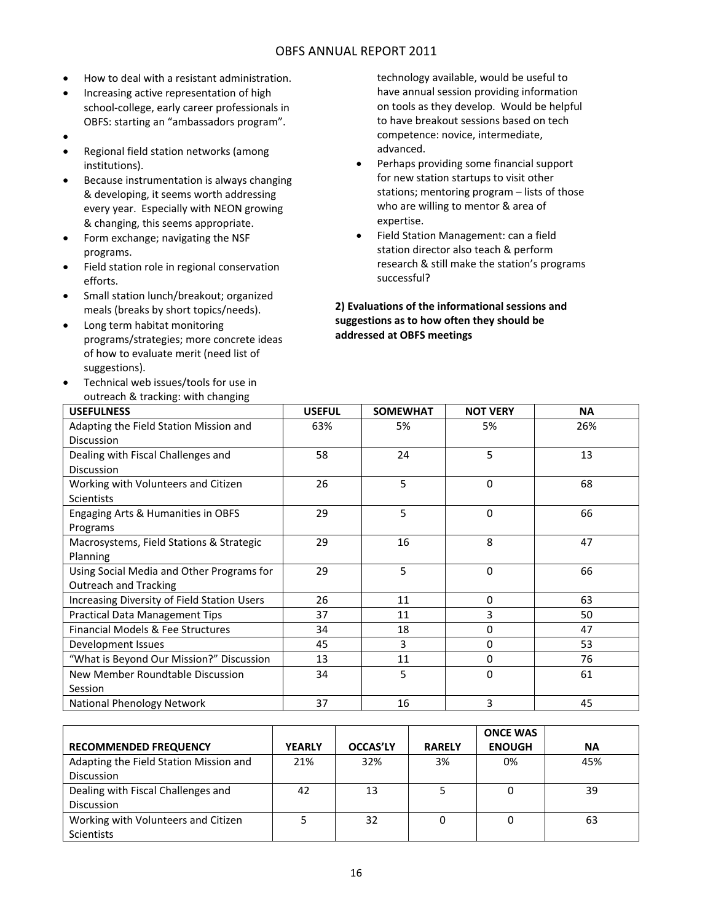- How to deal with a resistant administration.
- Increasing active representation of high school‐college, early career professionals in OBFS: starting an "ambassadors program".
- $\bullet$
- Regional field station networks (among institutions).
- Because instrumentation is always changing & developing, it seems worth addressing every year. Especially with NEON growing & changing, this seems appropriate.
- Form exchange; navigating the NSF programs.
- Field station role in regional conservation efforts.
- Small station lunch/breakout; organized meals (breaks by short topics/needs).
- Long term habitat monitoring programs/strategies; more concrete ideas of how to evaluate merit (need list of suggestions).
- Technical web issues/tools for use in outreach & tracking: with changing

technology available, would be useful to have annual session providing information on tools as they develop. Would be helpful to have breakout sessions based on tech competence: novice, intermediate, advanced.

- Perhaps providing some financial support for new station startups to visit other stations; mentoring program – lists of those who are willing to mentor & area of expertise.
- Field Station Management: can a field station director also teach & perform research & still make the station's programs successful?

**2) Evaluations of the informational sessions and suggestions as to how often they should be addressed at OBFS meetings**

| <b>USEFULNESS</b>                           | <b>USEFUL</b> | <b>SOMEWHAT</b> | <b>NOT VERY</b> | <b>NA</b> |
|---------------------------------------------|---------------|-----------------|-----------------|-----------|
| Adapting the Field Station Mission and      | 63%           | 5%              | 5%              | 26%       |
| <b>Discussion</b>                           |               |                 |                 |           |
| Dealing with Fiscal Challenges and          | 58            | 24              | 5               | 13        |
| <b>Discussion</b>                           |               |                 |                 |           |
| Working with Volunteers and Citizen         | 26            | 5               | $\Omega$        | 68        |
| <b>Scientists</b>                           |               |                 |                 |           |
| Engaging Arts & Humanities in OBFS          | 29            | 5               | $\Omega$        | 66        |
| Programs                                    |               |                 |                 |           |
| Macrosystems, Field Stations & Strategic    | 29            | 16              | 8               | 47        |
| Planning                                    |               |                 |                 |           |
| Using Social Media and Other Programs for   | 29            | 5               | $\Omega$        | 66        |
| <b>Outreach and Tracking</b>                |               |                 |                 |           |
| Increasing Diversity of Field Station Users | 26            | 11              | $\Omega$        | 63        |
| <b>Practical Data Management Tips</b>       | 37            | 11              | 3               | 50        |
| Financial Models & Fee Structures           | 34            | 18              | 0               | 47        |
| Development Issues                          | 45            | 3               | $\Omega$        | 53        |
| "What is Beyond Our Mission?" Discussion    | 13            | 11              | $\Omega$        | 76        |
| New Member Roundtable Discussion            | 34            | 5               | $\Omega$        | 61        |
| Session                                     |               |                 |                 |           |
| National Phenology Network                  | 37            | 16              | 3               | 45        |

|                                        |               |                 |               | <b>ONCE WAS</b> |           |
|----------------------------------------|---------------|-----------------|---------------|-----------------|-----------|
| <b>RECOMMENDED FREQUENCY</b>           | <b>YEARLY</b> | <b>OCCAS'LY</b> | <b>RARELY</b> | <b>ENOUGH</b>   | <b>NA</b> |
| Adapting the Field Station Mission and | 21%           | 32%             | 3%            | 0%              | 45%       |
| <b>Discussion</b>                      |               |                 |               |                 |           |
| Dealing with Fiscal Challenges and     | 42            | 13              |               |                 | 39        |
| <b>Discussion</b>                      |               |                 |               |                 |           |
| Working with Volunteers and Citizen    |               | 32              |               |                 | 63        |
| <b>Scientists</b>                      |               |                 |               |                 |           |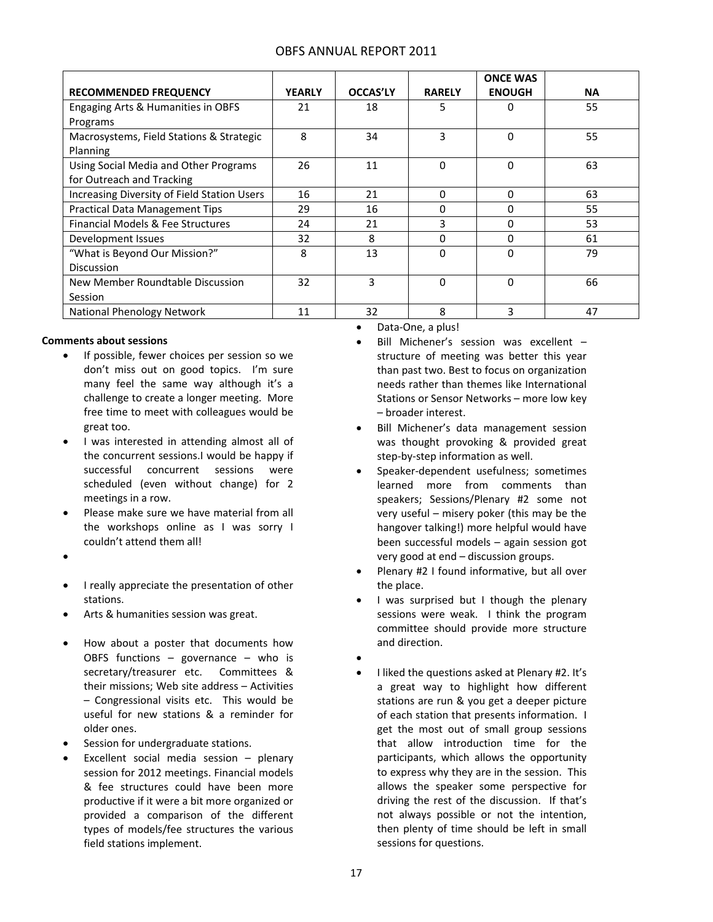|  | <b>OBFS ANNUAL REPORT 2011</b> |  |  |
|--|--------------------------------|--|--|
|--|--------------------------------|--|--|

|                                             |               |                 |               | <b>ONCE WAS</b> |           |
|---------------------------------------------|---------------|-----------------|---------------|-----------------|-----------|
| <b>RECOMMENDED FREQUENCY</b>                | <b>YEARLY</b> | <b>OCCAS'LY</b> | <b>RARELY</b> | <b>ENOUGH</b>   | <b>NA</b> |
| Engaging Arts & Humanities in OBFS          | 21            | 18              | 5             | 0               | 55        |
| Programs                                    |               |                 |               |                 |           |
| Macrosystems, Field Stations & Strategic    | 8             | 34              | 3             | $\Omega$        | 55        |
| Planning                                    |               |                 |               |                 |           |
| Using Social Media and Other Programs       | 26            | 11              | $\Omega$      | $\Omega$        | 63        |
| for Outreach and Tracking                   |               |                 |               |                 |           |
| Increasing Diversity of Field Station Users | 16            | 21              | 0             | $\Omega$        | 63        |
| <b>Practical Data Management Tips</b>       | 29            | 16              | 0             | $\Omega$        | 55        |
| Financial Models & Fee Structures           | 24            | 21              | 3             | $\Omega$        | 53        |
| Development Issues                          | 32            | 8               | O             | $\Omega$        | 61        |
| "What is Beyond Our Mission?"               | 8             | 13              | 0             | $\Omega$        | 79        |
| <b>Discussion</b>                           |               |                 |               |                 |           |
| New Member Roundtable Discussion            | 32            | 3               | 0             | $\Omega$        | 66        |
| Session                                     |               |                 |               |                 |           |
| National Phenology Network                  | 11            | 32              | 8             | 3               | 47        |

#### **Comments about sessions**

- If possible, fewer choices per session so we don't miss out on good topics. I'm sure many feel the same way although it's a challenge to create a longer meeting. More free time to meet with colleagues would be great too.
- I was interested in attending almost all of the concurrent sessions.I would be happy if successful concurrent sessions were scheduled (even without change) for 2 meetings in a row.
- Please make sure we have material from all the workshops online as I was sorry I couldn't attend them all!
- $\bullet$
- I really appreciate the presentation of other stations.
- Arts & humanities session was great.
- How about a poster that documents how OBFS functions  $-$  governance  $-$  who is secretary/treasurer etc. Committees & their missions; Web site address – Activities – Congressional visits etc. This would be useful for new stations & a reminder for older ones.
- Session for undergraduate stations.
- Excellent social media session plenary session for 2012 meetings. Financial models & fee structures could have been more productive if it were a bit more organized or provided a comparison of the different types of models/fee structures the various field stations implement.

Data‐One, a plus!

- Bill Michener's session was excellent structure of meeting was better this year than past two. Best to focus on organization needs rather than themes like International Stations or Sensor Networks – more low key – broader interest.
- Bill Michener's data management session was thought provoking & provided great step‐by‐step information as well.
- Speaker-dependent usefulness; sometimes learned more from comments than speakers; Sessions/Plenary #2 some not very useful – misery poker (this may be the hangover talking!) more helpful would have been successful models – again session got very good at end – discussion groups.
- Plenary #2 I found informative, but all over the place.
- I was surprised but I though the plenary sessions were weak. I think the program committee should provide more structure and direction.
- $\bullet$
- I liked the questions asked at Plenary #2. It's a great way to highlight how different stations are run & you get a deeper picture of each station that presents information. I get the most out of small group sessions that allow introduction time for the participants, which allows the opportunity to express why they are in the session. This allows the speaker some perspective for driving the rest of the discussion. If that's not always possible or not the intention, then plenty of time should be left in small sessions for questions.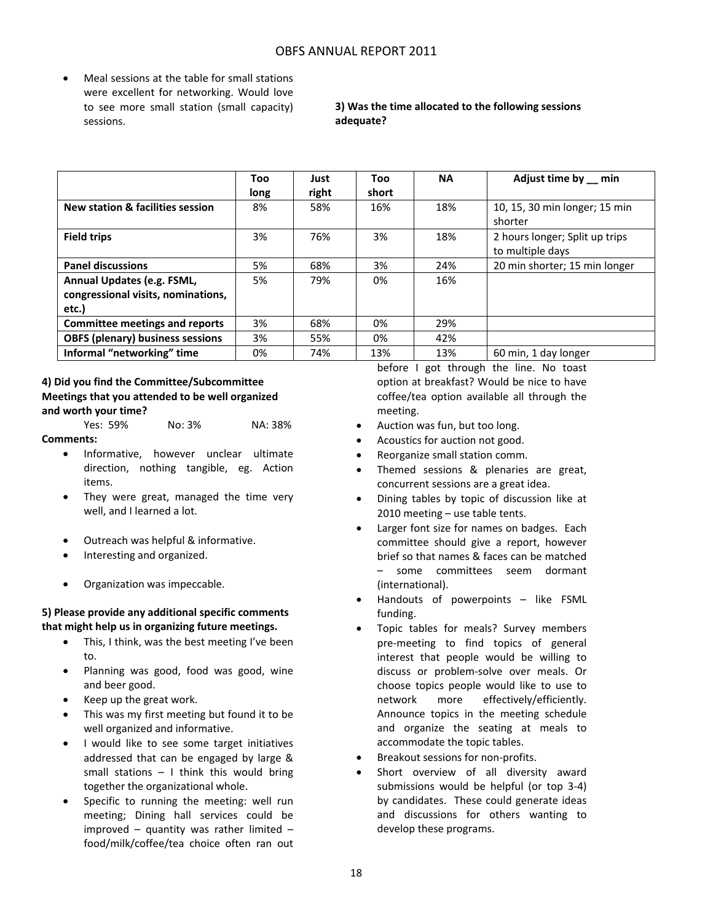Meal sessions at the table for small stations were excellent for networking. Would love to see more small station (small capacity) sessions.

### **3) Was the time allocated to the following sessions adequate?**

|                                                                           | Too<br>long | Just<br>right | Too<br>short | <b>NA</b> | Adjust time by __ min                              |
|---------------------------------------------------------------------------|-------------|---------------|--------------|-----------|----------------------------------------------------|
| New station & facilities session                                          | 8%          | 58%           | 16%          | 18%       | 10, 15, 30 min longer; 15 min<br>shorter           |
| <b>Field trips</b>                                                        | 3%          | 76%           | 3%           | 18%       | 2 hours longer; Split up trips<br>to multiple days |
| <b>Panel discussions</b>                                                  | 5%          | 68%           | 3%           | 24%       | 20 min shorter; 15 min longer                      |
| Annual Updates (e.g. FSML,<br>congressional visits, nominations,<br>etc.) | 5%          | 79%           | 0%           | 16%       |                                                    |
| <b>Committee meetings and reports</b>                                     | 3%          | 68%           | 0%           | 29%       |                                                    |
| <b>OBFS (plenary) business sessions</b>                                   | 3%          | 55%           | 0%           | 42%       |                                                    |
| Informal "networking" time                                                | 0%          | 74%           | 13%          | 13%       | 60 min, 1 day longer                               |

### **4) Did you find the Committee/Subcommittee Meetings that you attended to be well organized and worth your time?**

Yes: 59% No: 3% NA: 38% **Comments:**

- Informative, however unclear ultimate direction, nothing tangible, eg. Action items.
- They were great, managed the time very well, and I learned a lot.
- Outreach was helpful & informative.
- Interesting and organized.
- Organization was impeccable.

### **5) Please provide any additional specific comments that might help us in organizing future meetings.**

- This, I think, was the best meeting I've been to.
- Planning was good, food was good, wine and beer good.
- Keep up the great work.
- This was my first meeting but found it to be well organized and informative.
- I would like to see some target initiatives addressed that can be engaged by large & small stations – I think this would bring together the organizational whole.
- Specific to running the meeting: well run meeting; Dining hall services could be improved – quantity was rather limited – food/milk/coffee/tea choice often ran out

before I got through the line. No toast option at breakfast? Would be nice to have coffee/tea option available all through the meeting.

- Auction was fun, but too long.
- Acoustics for auction not good.
- Reorganize small station comm.
- Themed sessions & plenaries are great, concurrent sessions are a great idea.
- Dining tables by topic of discussion like at 2010 meeting – use table tents.
- Larger font size for names on badges. Each committee should give a report, however brief so that names & faces can be matched – some committees seem dormant (international).
- Handouts of powerpoints like FSML funding.
- Topic tables for meals? Survey members pre‐meeting to find topics of general interest that people would be willing to discuss or problem‐solve over meals. Or choose topics people would like to use to network more effectively/efficiently. Announce topics in the meeting schedule and organize the seating at meals to accommodate the topic tables.
- Breakout sessions for non-profits.
- Short overview of all diversity award submissions would be helpful (or top 3‐4) by candidates. These could generate ideas and discussions for others wanting to develop these programs.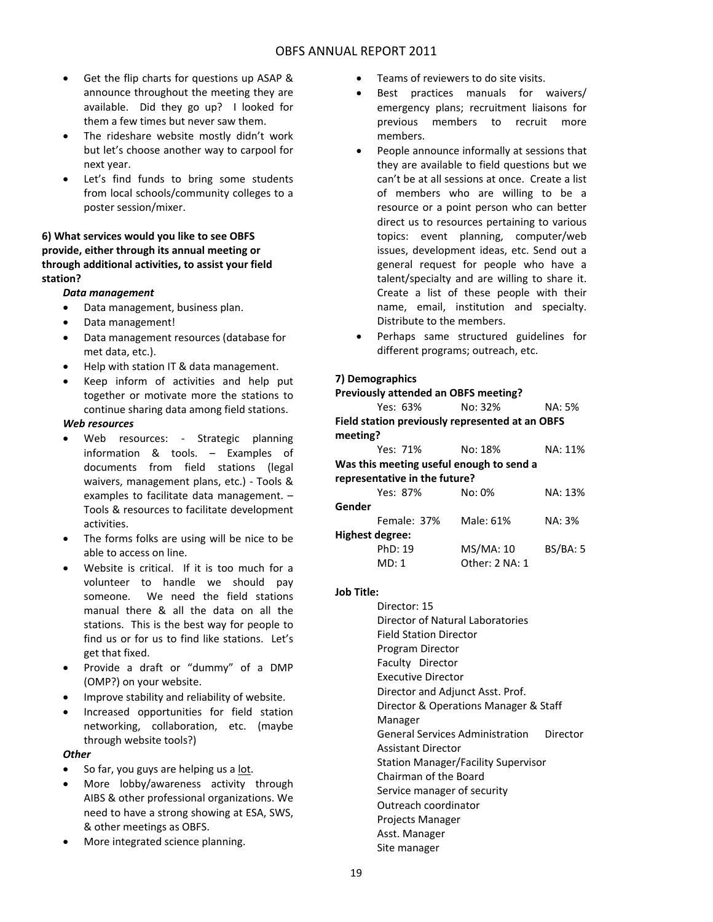- Get the flip charts for questions up ASAP & announce throughout the meeting they are available. Did they go up? I looked for them a few times but never saw them.
- The rideshare website mostly didn't work but let's choose another way to carpool for next year.
- Let's find funds to bring some students from local schools/community colleges to a poster session/mixer.

### **6) What services would you like to see OBFS provide, either through its annual meeting or through additional activities, to assist your field station?**

### *Data management*

- Data management, business plan.
- Data management!
- Data management resources (database for met data, etc.).
- Help with station IT & data management.
- Keep inform of activities and help put together or motivate more the stations to continue sharing data among field stations.

#### *Web resources*

- Web resources: Strategic planning information & tools. – Examples of documents from field stations (legal waivers, management plans, etc.) - Tools & examples to facilitate data management. – Tools & resources to facilitate development activities.
- The forms folks are using will be nice to be able to access on line.
- Website is critical. If it is too much for a volunteer to handle we should pay someone. We need the field stations manual there & all the data on all the stations. This is the best way for people to find us or for us to find like stations. Let's get that fixed.
- Provide a draft or "dummy" of a DMP (OMP?) on your website.
- Improve stability and reliability of website.
- Increased opportunities for field station networking, collaboration, etc. (maybe through website tools?)

### *Other*

- So far, you guys are helping us a lot.
- More lobby/awareness activity through AIBS & other professional organizations. We need to have a strong showing at ESA, SWS, & other meetings as OBFS.
- More integrated science planning.
- **•** Teams of reviewers to do site visits.
- Best practices manuals for waivers/ emergency plans; recruitment liaisons for previous members to recruit more members.
- People announce informally at sessions that they are available to field questions but we can't be at all sessions at once. Create a list of members who are willing to be a resource or a point person who can better direct us to resources pertaining to various topics: event planning, computer/web issues, development ideas, etc. Send out a general request for people who have a talent/specialty and are willing to share it. Create a list of these people with their name, email, institution and specialty. Distribute to the members.
- Perhaps same structured guidelines for different programs; outreach, etc.

### **7) Demographics**

| <b>Previously attended an OBFS meeting?</b>     |                |          |  |  |  |  |
|-------------------------------------------------|----------------|----------|--|--|--|--|
| Yes: 63%                                        | No: 32%        | NA: 5%   |  |  |  |  |
| Field station previously represented at an OBFS |                |          |  |  |  |  |
| meeting?                                        |                |          |  |  |  |  |
| Yes: 71%                                        | No: 18%        | NA: 11%  |  |  |  |  |
| Was this meeting useful enough to send a        |                |          |  |  |  |  |
| representative in the future?                   |                |          |  |  |  |  |
| Yes: 87%                                        | $No: 0\%$      | NA: 13%  |  |  |  |  |
| Gender                                          |                |          |  |  |  |  |
| Female: 37%                                     | Male: 61%      | NA: 3%   |  |  |  |  |
| Highest degree:                                 |                |          |  |  |  |  |
| PhD: 19                                         | MS/MA: 10      | BS/BA: 5 |  |  |  |  |
| MD: 1                                           | Other: 2 NA: 1 |          |  |  |  |  |
|                                                 |                |          |  |  |  |  |

#### **Job Title:**

Director: 15 Director of Natural Laboratories Field Station Director Program Director Faculty Director Executive Director Director and Adjunct Asst. Prof. Director & Operations Manager & Staff Manager General Services Administration Director Assistant Director Station Manager/Facility Supervisor Chairman of the Board Service manager of security Outreach coordinator Projects Manager Asst. Manager Site manager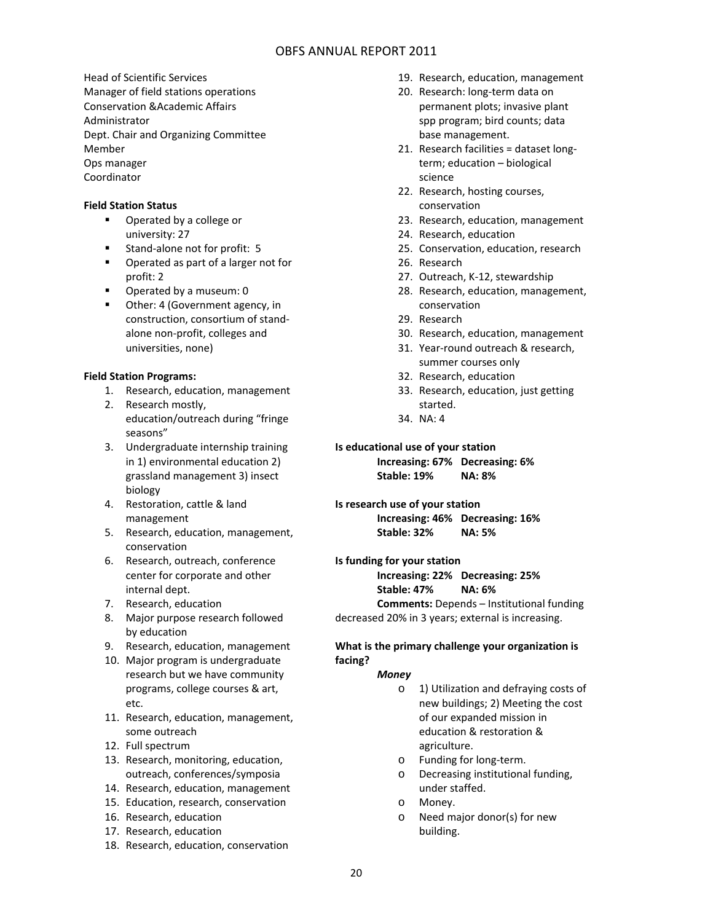Head of Scientific Services Manager of field stations operations Conservation &Academic Affairs Administrator Dept. Chair and Organizing Committee Member Ops manager Coordinator

### **Field Station Status**

- **•** Operated by a college or university: 27
- Stand-alone not for profit: 5
- **Parted as part of a larger not for** profit: 2
- **•** Operated by a museum: 0
- Other: 4 (Government agency, in construction, consortium of stand‐ alone non‐profit, colleges and universities, none)

### **Field Station Programs:**

- 1. Research, education, management
- 2. Research mostly, education/outreach during "fringe seasons"
- 3. Undergraduate internship training in 1) environmental education 2) grassland management 3) insect biology
- 4. Restoration, cattle & land management
- 5. Research, education, management, conservation
- 6. Research, outreach, conference center for corporate and other internal dept.
- 7. Research, education
- 8. Major purpose research followed by education
- 9. Research, education, management
- 10. Major program is undergraduate research but we have community programs, college courses & art, etc.
- 11. Research, education, management, some outreach
- 12. Full spectrum
- 13. Research, monitoring, education, outreach, conferences/symposia
- 14. Research, education, management
- 15. Education, research, conservation
- 16. Research, education
- 17. Research, education
- 18. Research, education, conservation
- 19. Research, education, management
- 20. Research: long‐term data on permanent plots; invasive plant spp program; bird counts; data base management.
- 21. Research facilities = dataset long‐ term; education – biological science
- 22. Research, hosting courses, conservation
- 23. Research, education, management
- 24. Research, education
- 25. Conservation, education, research
- 26. Research
- 27. Outreach, K‐12, stewardship
- 28. Research, education, management, conservation
- 29. Research
- 30. Research, education, management
- 31. Year‐round outreach & research, summer courses only
- 32. Research, education
- 33. Research, education, just getting started.
- 34. NA: 4

### **Is educational use of your station**

**Increasing: 67% Decreasing: 6% Stable: 19% NA: 8%**

**Is research use of your station Increasing: 46% Decreasing: 16% Stable: 32% NA: 5%**

**Is funding for your station Increasing: 22% Decreasing: 25% Stable: 47% NA: 6% Comments:** Depends – Institutional funding

decreased 20% in 3 years; external is increasing.

### **What is the primary challenge your organization is facing?**

### *Money*

- o 1) Utilization and defraying costs of new buildings; 2) Meeting the cost of our expanded mission in education & restoration & agriculture.
- o Funding for long‐term.
- o Decreasing institutional funding, under staffed.
- o Money.
- o Need major donor(s) for new building.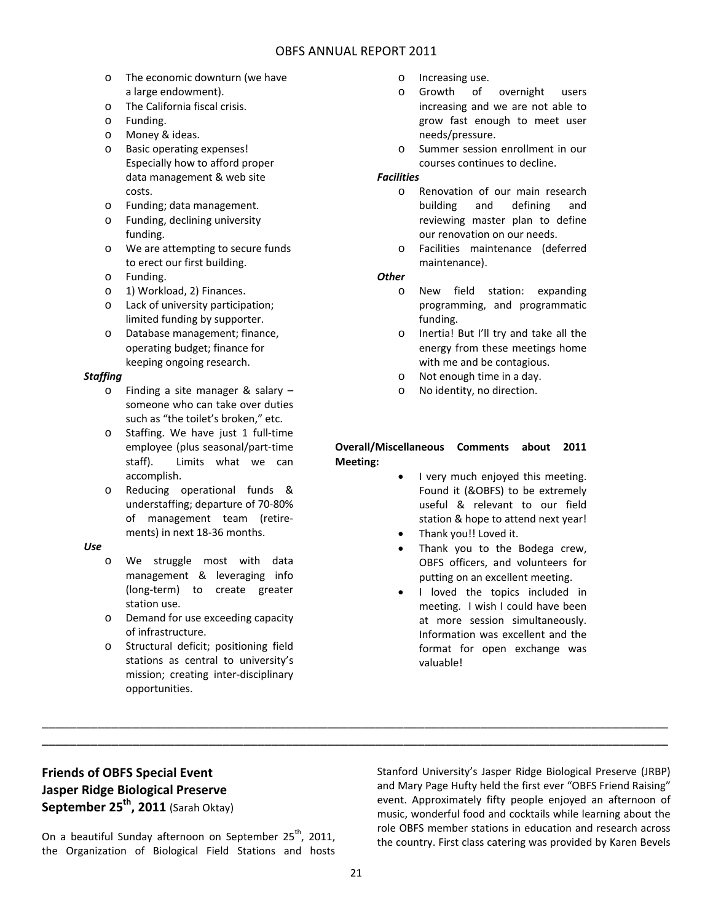- o The economic downturn (we have a large endowment).
- o The California fiscal crisis.
- o Funding.
- o Money & ideas.
- o Basic operating expenses! Especially how to afford proper data management & web site costs.
- o Funding; data management.
- o Funding, declining university funding.
- o We are attempting to secure funds to erect our first building.
- o Funding.
- o 1) Workload, 2) Finances.
- o Lack of university participation; limited funding by supporter.
- o Database management; finance, operating budget; finance for keeping ongoing research.

### *Staffing*

- o Finding a site manager & salary someone who can take over duties such as "the toilet's broken," etc.
- o Staffing. We have just 1 full‐time employee (plus seasonal/part‐time staff). Limits what we can accomplish.
- o Reducing operational funds & understaffing; departure of 70‐80% of management team (retire‐ ments) in next 18‐36 months.

### *Use*

- o We struggle most with data management & leveraging info (long‐term) to create greater station use.
- o Demand for use exceeding capacity of infrastructure.
- o Structural deficit; positioning field stations as central to university's mission; creating inter‐disciplinary opportunities.
- o Increasing use.
- o Growth of overnight users increasing and we are not able to grow fast enough to meet user needs/pressure.
- o Summer session enrollment in our courses continues to decline.

### *Facilities*

- o Renovation of our main research building and defining and reviewing master plan to define our renovation on our needs.
- o Facilities maintenance (deferred maintenance).

### *Other*

- o New field station: expanding programming, and programmatic funding.
- o Inertia! But I'll try and take all the energy from these meetings home with me and be contagious.
- o Not enough time in a day.
- o No identity, no direction.

### **Overall/Miscellaneous Comments about 2011 Meeting:**

- I very much enjoyed this meeting. Found it (&OBFS) to be extremely useful & relevant to our field station & hope to attend next year!
- Thank you!! Loved it.
- Thank you to the Bodega crew, OBFS officers, and volunteers for putting on an excellent meeting.
- I loved the topics included in meeting. I wish I could have been at more session simultaneously. Information was excellent and the format for open exchange was valuable!

## **Friends of OBFS Special Event Jasper Ridge Biological Preserve September 25th, 2011** (Sarah Oktay)

On a beautiful Sunday afternoon on September  $25^{th}$ , 2011, the Organization of Biological Field Stations and hosts Stanford University's Jasper Ridge Biological Preserve (JRBP) and Mary Page Hufty held the first ever "OBFS Friend Raising" event. Approximately fifty people enjoyed an afternoon of music, wonderful food and cocktails while learning about the role OBFS member stations in education and research across the country. First class catering was provided by Karen Bevels

\_\_\_\_\_\_\_\_\_\_\_\_\_\_\_\_\_\_\_\_\_\_\_\_\_\_\_\_\_\_\_\_\_\_\_\_\_\_\_\_\_\_\_\_\_\_\_\_\_\_\_\_\_\_\_\_\_\_\_\_\_\_\_\_\_\_\_\_\_\_\_\_\_\_\_\_\_\_\_\_\_\_\_\_\_\_\_\_\_\_ \_\_\_\_\_\_\_\_\_\_\_\_\_\_\_\_\_\_\_\_\_\_\_\_\_\_\_\_\_\_\_\_\_\_\_\_\_\_\_\_\_\_\_\_\_\_\_\_\_\_\_\_\_\_\_\_\_\_\_\_\_\_\_\_\_\_\_\_\_\_\_\_\_\_\_\_\_\_\_\_\_\_\_\_\_\_\_\_\_\_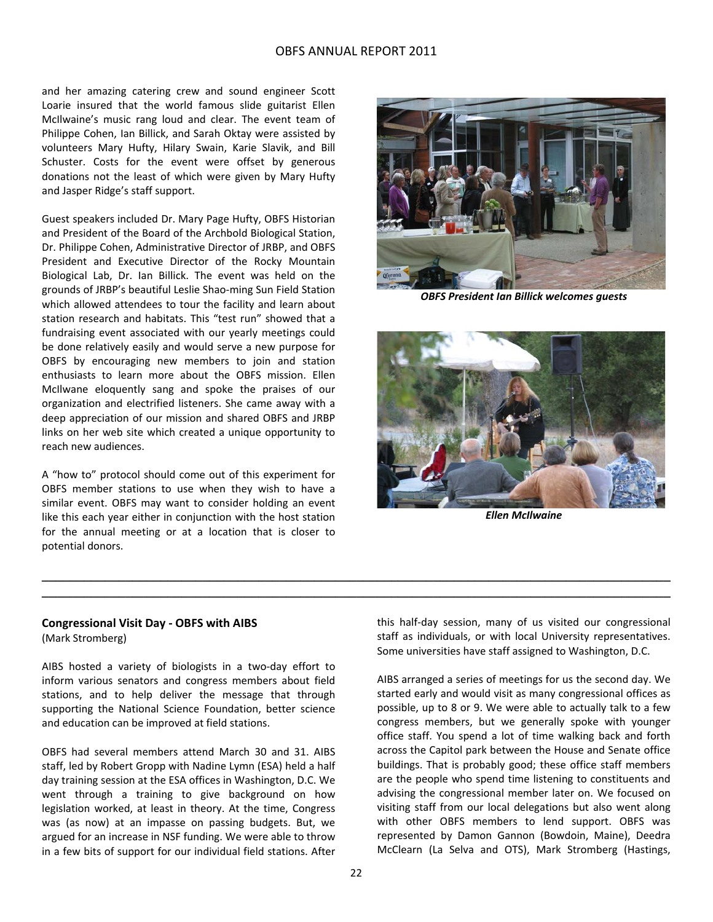and her amazing catering crew and sound engineer Scott Loarie insured that the world famous slide guitarist Ellen McIlwaine's music rang loud and clear. The event team of Philippe Cohen, Ian Billick, and Sarah Oktay were assisted by volunteers Mary Hufty, Hilary Swain, Karie Slavik, and Bill Schuster. Costs for the event were offset by generous donations not the least of which were given by Mary Hufty and Jasper Ridge's staff support.

Guest speakers included Dr. Mary Page Hufty, OBFS Historian and President of the Board of the Archbold Biological Station, Dr. Philippe Cohen, Administrative Director of JRBP, and OBFS President and Executive Director of the Rocky Mountain Biological Lab, Dr. Ian Billick. The event was held on the grounds of JRBP's beautiful Leslie Shao‐ming Sun Field Station which allowed attendees to tour the facility and learn about station research and habitats. This "test run" showed that a fundraising event associated with our yearly meetings could be done relatively easily and would serve a new purpose for OBFS by encouraging new members to join and station enthusiasts to learn more about the OBFS mission. Ellen McIlwane eloquently sang and spoke the praises of our organization and electrified listeners. She came away with a deep appreciation of our mission and shared OBFS and JRBP links on her web site which created a unique opportunity to reach new audiences.

A "how to" protocol should come out of this experiment for OBFS member stations to use when they wish to have a similar event. OBFS may want to consider holding an event like this each year either in conjunction with the host station for the annual meeting or at a location that is closer to potential donors.



*OBFS President Ian Billick welcomes guests*



*Ellen McIlwaine*

## **Congressional Visit Day ‐ OBFS with AIBS**

(Mark Stromberg)

AIBS hosted a variety of biologists in a two‐day effort to inform various senators and congress members about field stations, and to help deliver the message that through supporting the National Science Foundation, better science and education can be improved at field stations.

OBFS had several members attend March 30 and 31. AIBS staff, led by Robert Gropp with Nadine Lymn (ESA) held a half day training session at the ESA offices in Washington, D.C. We went through a training to give background on how legislation worked, at least in theory. At the time, Congress was (as now) at an impasse on passing budgets. But, we argued for an increase in NSF funding. We were able to throw in a few bits of support for our individual field stations. After this half‐day session, many of us visited our congressional staff as individuals, or with local University representatives. Some universities have staff assigned to Washington, D.C.

AIBS arranged a series of meetings for us the second day. We started early and would visit as many congressional offices as possible, up to 8 or 9. We were able to actually talk to a few congress members, but we generally spoke with younger office staff. You spend a lot of time walking back and forth across the Capitol park between the House and Senate office buildings. That is probably good; these office staff members are the people who spend time listening to constituents and advising the congressional member later on. We focused on visiting staff from our local delegations but also went along with other OBFS members to lend support. OBFS was represented by Damon Gannon (Bowdoin, Maine), Deedra McClearn (La Selva and OTS), Mark Stromberg (Hastings,

**\_\_\_\_\_\_\_\_\_\_\_\_\_\_\_\_\_\_\_\_\_\_\_\_\_\_\_\_\_\_\_\_\_\_\_\_\_\_\_\_\_\_\_\_\_\_\_\_\_\_\_\_\_\_\_\_\_\_\_\_\_\_\_\_\_\_\_\_\_\_\_\_\_\_\_\_\_\_\_\_\_\_\_\_\_\_\_\_\_\_ \_\_\_\_\_\_\_\_\_\_\_\_\_\_\_\_\_\_\_\_\_\_\_\_\_\_\_\_\_\_\_\_\_\_\_\_\_\_\_\_\_\_\_\_\_\_\_\_\_\_\_\_\_\_\_\_\_\_\_\_\_\_\_\_\_\_\_\_\_\_\_\_\_\_\_\_\_\_\_\_\_\_\_\_\_\_\_\_\_\_**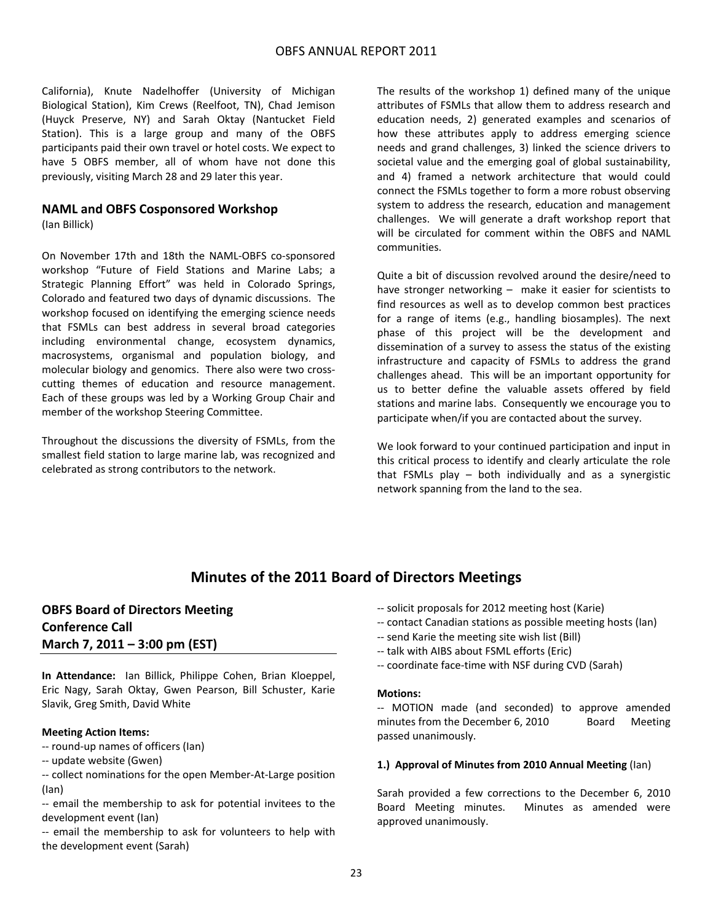California), Knute Nadelhoffer (University of Michigan Biological Station), Kim Crews (Reelfoot, TN), Chad Jemison (Huyck Preserve, NY) and Sarah Oktay (Nantucket Field Station). This is a large group and many of the OBFS participants paid their own travel or hotel costs. We expect to have 5 OBFS member, all of whom have not done this previously, visiting March 28 and 29 later this year.

### **NAML and OBFS Cosponsored Workshop**

(Ian Billick)

On November 17th and 18th the NAML‐OBFS co‐sponsored workshop "Future of Field Stations and Marine Labs; a Strategic Planning Effort" was held in Colorado Springs, Colorado and featured two days of dynamic discussions. The workshop focused on identifying the emerging science needs that FSMLs can best address in several broad categories including environmental change, ecosystem dynamics, macrosystems, organismal and population biology, and molecular biology and genomics. There also were two cross‐ cutting themes of education and resource management. Each of these groups was led by a Working Group Chair and member of the workshop Steering Committee.

Throughout the discussions the diversity of FSMLs, from the smallest field station to large marine lab, was recognized and celebrated as strong contributors to the network.

The results of the workshop 1) defined many of the unique attributes of FSMLs that allow them to address research and education needs, 2) generated examples and scenarios of how these attributes apply to address emerging science needs and grand challenges, 3) linked the science drivers to societal value and the emerging goal of global sustainability, and 4) framed a network architecture that would could connect the FSMLs together to form a more robust observing system to address the research, education and management challenges. We will generate a draft workshop report that will be circulated for comment within the OBFS and NAML communities.

Quite a bit of discussion revolved around the desire/need to have stronger networking - make it easier for scientists to find resources as well as to develop common best practices for a range of items (e.g., handling biosamples). The next phase of this project will be the development and dissemination of a survey to assess the status of the existing infrastructure and capacity of FSMLs to address the grand challenges ahead. This will be an important opportunity for us to better define the valuable assets offered by field stations and marine labs. Consequently we encourage you to participate when/if you are contacted about the survey.

We look forward to your continued participation and input in this critical process to identify and clearly articulate the role that FSMLs play – both individually and as a synergistic network spanning from the land to the sea.

## **Minutes of the 2011 Board of Directors Meetings**

## **OBFS Board of Directors Meeting Conference Call March 7, 2011 – 3:00 pm (EST)**

**In Attendance:** Ian Billick, Philippe Cohen, Brian Kloeppel, Eric Nagy, Sarah Oktay, Gwen Pearson, Bill Schuster, Karie Slavik, Greg Smith, David White

### **Meeting Action Items:**

‐‐ round‐up names of officers (Ian)

‐‐ update website (Gwen)

‐‐ collect nominations for the open Member‐At‐Large position (Ian)

‐‐ email the membership to ask for potential invitees to the development event (Ian)

‐‐ email the membership to ask for volunteers to help with the development event (Sarah)

- ‐‐ solicit proposals for 2012 meeting host (Karie)
- ‐‐ contact Canadian stations as possible meeting hosts (Ian)
- ‐‐ send Karie the meeting site wish list (Bill)
- ‐‐ talk with AIBS about FSML efforts (Eric)
- ‐‐ coordinate face‐time with NSF during CVD (Sarah)

#### **Motions:**

‐‐ MOTION made (and seconded) to approve amended minutes from the December 6, 2010 Board Meeting passed unanimously.

#### **1.) Approval of Minutes from 2010 Annual Meeting** (Ian)

Sarah provided a few corrections to the December 6, 2010 Board Meeting minutes. Minutes as amended were approved unanimously.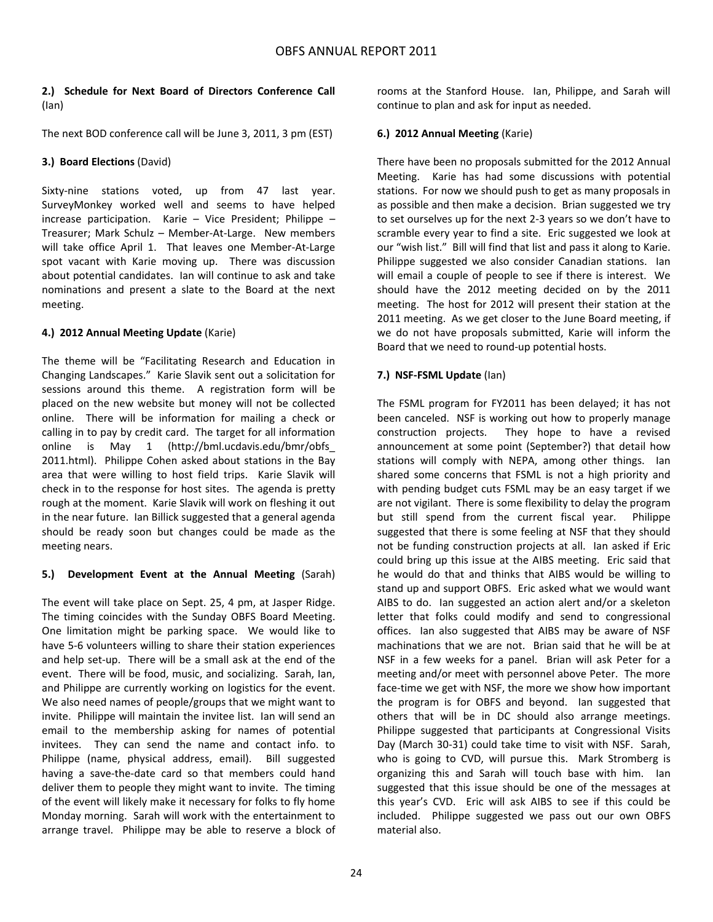### **2.) Schedule for Next Board of Directors Conference Call** (Ian)

The next BOD conference call will be June 3, 2011, 3 pm (EST)

### **3.) Board Elections** (David)

Sixty-nine stations voted, up from 47 last year. SurveyMonkey worked well and seems to have helped increase participation. Karie – Vice President; Philippe – Treasurer; Mark Schulz – Member‐At‐Large. New members will take office April 1. That leaves one Member-At-Large spot vacant with Karie moving up. There was discussion about potential candidates. Ian will continue to ask and take nominations and present a slate to the Board at the next meeting.

### **4.) 2012 Annual Meeting Update** (Karie)

The theme will be "Facilitating Research and Education in Changing Landscapes." Karie Slavik sent out a solicitation for sessions around this theme. A registration form will be placed on the new website but money will not be collected online. There will be information for mailing a check or calling in to pay by credit card. The target for all information online is May 1 (http://bml.ucdavis.edu/bmr/obfs\_ 2011.html). Philippe Cohen asked about stations in the Bay area that were willing to host field trips. Karie Slavik will check in to the response for host sites. The agenda is pretty rough at the moment. Karie Slavik will work on fleshing it out in the near future. Ian Billick suggested that a general agenda should be ready soon but changes could be made as the meeting nears.

### **5.) Development Event at the Annual Meeting** (Sarah)

The event will take place on Sept. 25, 4 pm, at Jasper Ridge. The timing coincides with the Sunday OBFS Board Meeting. One limitation might be parking space. We would like to have 5-6 volunteers willing to share their station experiences and help set-up. There will be a small ask at the end of the event. There will be food, music, and socializing. Sarah, Ian, and Philippe are currently working on logistics for the event. We also need names of people/groups that we might want to invite. Philippe will maintain the invitee list. Ian will send an email to the membership asking for names of potential invitees. They can send the name and contact info. to Philippe (name, physical address, email). Bill suggested having a save‐the‐date card so that members could hand deliver them to people they might want to invite. The timing of the event will likely make it necessary for folks to fly home Monday morning. Sarah will work with the entertainment to arrange travel. Philippe may be able to reserve a block of rooms at the Stanford House. Ian, Philippe, and Sarah will continue to plan and ask for input as needed.

### **6.) 2012 Annual Meeting** (Karie)

There have been no proposals submitted for the 2012 Annual Meeting. Karie has had some discussions with potential stations. For now we should push to get as many proposals in as possible and then make a decision. Brian suggested we try to set ourselves up for the next 2‐3 years so we don't have to scramble every year to find a site. Eric suggested we look at our "wish list." Bill will find that list and pass it along to Karie. Philippe suggested we also consider Canadian stations. Ian will email a couple of people to see if there is interest. We should have the 2012 meeting decided on by the 2011 meeting. The host for 2012 will present their station at the 2011 meeting. As we get closer to the June Board meeting, if we do not have proposals submitted, Karie will inform the Board that we need to round‐up potential hosts.

### **7.) NSF‐FSML Update** (Ian)

The FSML program for FY2011 has been delayed; it has not been canceled. NSF is working out how to properly manage construction projects. They hope to have a revised announcement at some point (September?) that detail how stations will comply with NEPA, among other things. Ian shared some concerns that FSML is not a high priority and with pending budget cuts FSML may be an easy target if we are not vigilant. There is some flexibility to delay the program but still spend from the current fiscal year. Philippe suggested that there is some feeling at NSF that they should not be funding construction projects at all. Ian asked if Eric could bring up this issue at the AIBS meeting. Eric said that he would do that and thinks that AIBS would be willing to stand up and support OBFS. Eric asked what we would want AIBS to do. Ian suggested an action alert and/or a skeleton letter that folks could modify and send to congressional offices. Ian also suggested that AIBS may be aware of NSF machinations that we are not. Brian said that he will be at NSF in a few weeks for a panel. Brian will ask Peter for a meeting and/or meet with personnel above Peter. The more face-time we get with NSF, the more we show how important the program is for OBFS and beyond. Ian suggested that others that will be in DC should also arrange meetings. Philippe suggested that participants at Congressional Visits Day (March 30‐31) could take time to visit with NSF. Sarah, who is going to CVD, will pursue this. Mark Stromberg is organizing this and Sarah will touch base with him. Ian suggested that this issue should be one of the messages at this year's CVD. Eric will ask AIBS to see if this could be included. Philippe suggested we pass out our own OBFS material also.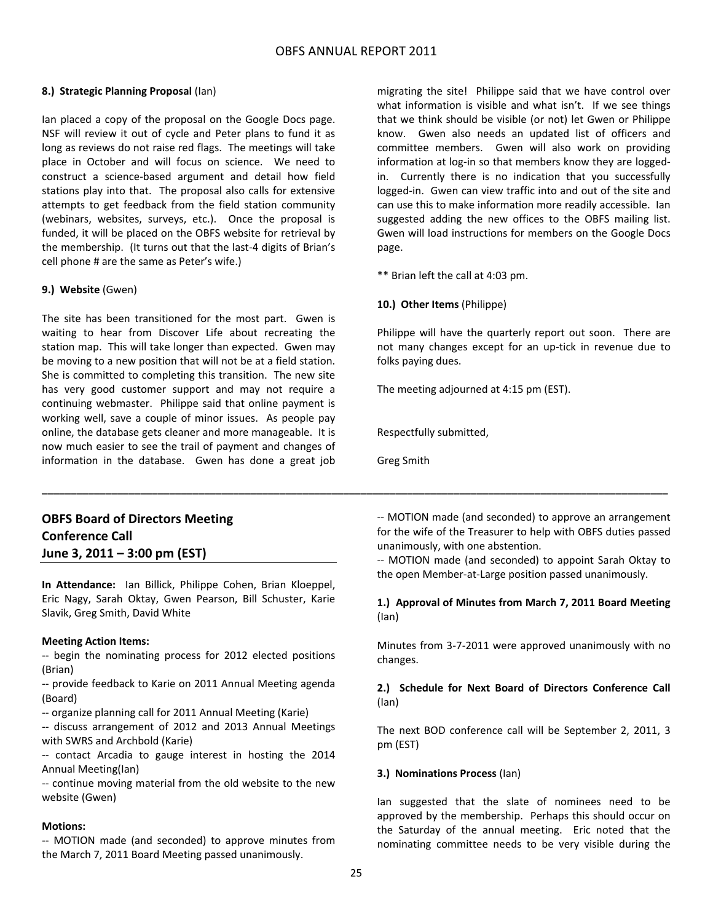### **8.) Strategic Planning Proposal** (Ian)

Ian placed a copy of the proposal on the Google Docs page. NSF will review it out of cycle and Peter plans to fund it as long as reviews do not raise red flags. The meetings will take place in October and will focus on science. We need to construct a science‐based argument and detail how field stations play into that. The proposal also calls for extensive attempts to get feedback from the field station community (webinars, websites, surveys, etc.). Once the proposal is funded, it will be placed on the OBFS website for retrieval by the membership. (It turns out that the last‐4 digits of Brian's cell phone # are the same as Peter's wife.)

### **9.) Website** (Gwen)

The site has been transitioned for the most part. Gwen is waiting to hear from Discover Life about recreating the station map. This will take longer than expected. Gwen may be moving to a new position that will not be at a field station. She is committed to completing this transition. The new site has very good customer support and may not require a continuing webmaster. Philippe said that online payment is working well, save a couple of minor issues. As people pay online, the database gets cleaner and more manageable. It is now much easier to see the trail of payment and changes of information in the database. Gwen has done a great job

**OBFS Board of Directors Meeting Conference Call June 3, 2011 – 3:00 pm (EST)**

**In Attendance:** Ian Billick, Philippe Cohen, Brian Kloeppel, Eric Nagy, Sarah Oktay, Gwen Pearson, Bill Schuster, Karie Slavik, Greg Smith, David White

### **Meeting Action Items:**

‐‐ begin the nominating process for 2012 elected positions (Brian)

‐‐ provide feedback to Karie on 2011 Annual Meeting agenda (Board)

- ‐‐ organize planning call for 2011 Annual Meeting (Karie)
- ‐‐ discuss arrangement of 2012 and 2013 Annual Meetings with SWRS and Archbold (Karie)

‐‐ contact Arcadia to gauge interest in hosting the 2014 Annual Meeting(Ian)

‐‐ continue moving material from the old website to the new website (Gwen)

### **Motions:**

‐‐ MOTION made (and seconded) to approve minutes from the March 7, 2011 Board Meeting passed unanimously.

migrating the site! Philippe said that we have control over what information is visible and what isn't. If we see things that we think should be visible (or not) let Gwen or Philippe know. Gwen also needs an updated list of officers and committee members. Gwen will also work on providing information at log‐in so that members know they are logged‐ in. Currently there is no indication that you successfully logged‐in. Gwen can view traffic into and out of the site and can use this to make information more readily accessible. Ian suggested adding the new offices to the OBFS mailing list. Gwen will load instructions for members on the Google Docs page.

\*\* Brian left the call at 4:03 pm.

### **10.) Other Items** (Philippe)

Philippe will have the quarterly report out soon. There are not many changes except for an up‐tick in revenue due to folks paying dues.

The meeting adjourned at 4:15 pm (EST).

Respectfully submitted,

Greg Smith

**\_\_\_\_\_\_\_\_\_\_\_\_\_\_\_\_\_\_\_\_\_\_\_\_\_\_\_\_\_\_\_\_\_\_\_\_\_\_\_\_\_\_\_\_\_\_\_\_\_\_\_\_\_\_\_\_\_\_\_\_\_\_\_\_\_\_\_\_\_\_\_\_\_\_\_\_\_\_\_\_\_\_\_\_\_\_\_\_\_\_\_\_\_\_\_\_\_\_\_\_\_\_\_\_\_\_\_\_**

‐‐ MOTION made (and seconded) to approve an arrangement for the wife of the Treasurer to help with OBFS duties passed unanimously, with one abstention.

‐‐ MOTION made (and seconded) to appoint Sarah Oktay to the open Member‐at‐Large position passed unanimously.

### **1.) Approval of Minutes from March 7, 2011 Board Meeting** (Ian)

Minutes from 3‐7‐2011 were approved unanimously with no changes.

### **2.) Schedule for Next Board of Directors Conference Call** (Ian)

The next BOD conference call will be September 2, 2011, 3 pm (EST)

### **3.) Nominations Process** (Ian)

Ian suggested that the slate of nominees need to be approved by the membership. Perhaps this should occur on the Saturday of the annual meeting. Eric noted that the nominating committee needs to be very visible during the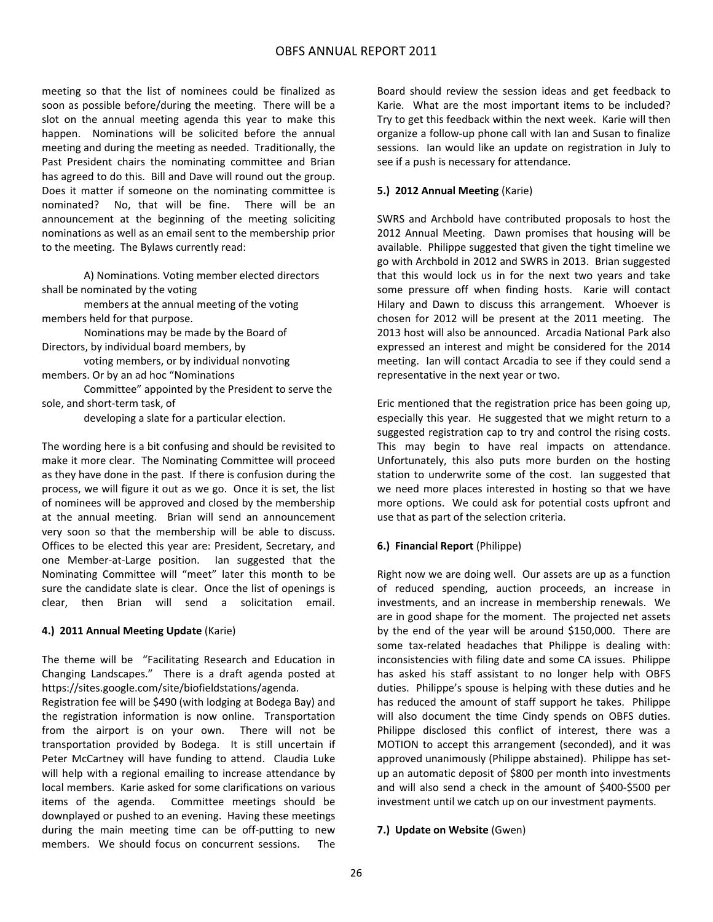meeting so that the list of nominees could be finalized as soon as possible before/during the meeting. There will be a slot on the annual meeting agenda this year to make this happen. Nominations will be solicited before the annual meeting and during the meeting as needed. Traditionally, the Past President chairs the nominating committee and Brian has agreed to do this. Bill and Dave will round out the group. Does it matter if someone on the nominating committee is nominated? No, that will be fine. There will be an announcement at the beginning of the meeting soliciting nominations as well as an email sent to the membership prior to the meeting. The Bylaws currently read:

A) Nominations. Voting member elected directors shall be nominated by the voting

members at the annual meeting of the voting members held for that purpose.

Nominations may be made by the Board of Directors, by individual board members, by

voting members, or by individual nonvoting members. Or by an ad hoc "Nominations

Committee" appointed by the President to serve the sole, and short‐term task, of

developing a slate for a particular election.

The wording here is a bit confusing and should be revisited to make it more clear. The Nominating Committee will proceed as they have done in the past. If there is confusion during the process, we will figure it out as we go. Once it is set, the list of nominees will be approved and closed by the membership at the annual meeting. Brian will send an announcement very soon so that the membership will be able to discuss. Offices to be elected this year are: President, Secretary, and one Member‐at‐Large position. Ian suggested that the Nominating Committee will "meet" later this month to be sure the candidate slate is clear. Once the list of openings is clear, then Brian will send a solicitation email.

### **4.) 2011 Annual Meeting Update** (Karie)

The theme will be "Facilitating Research and Education in Changing Landscapes." There is a draft agenda posted at https://sites.google.com/site/biofieldstations/agenda.

Registration fee will be \$490 (with lodging at Bodega Bay) and the registration information is now online. Transportation from the airport is on your own. There will not be transportation provided by Bodega. It is still uncertain if Peter McCartney will have funding to attend. Claudia Luke will help with a regional emailing to increase attendance by local members. Karie asked for some clarifications on various items of the agenda. Committee meetings should be downplayed or pushed to an evening. Having these meetings during the main meeting time can be off‐putting to new members. We should focus on concurrent sessions. The Board should review the session ideas and get feedback to Karie. What are the most important items to be included? Try to get this feedback within the next week. Karie will then organize a follow‐up phone call with Ian and Susan to finalize sessions. Ian would like an update on registration in July to see if a push is necessary for attendance.

### **5.) 2012 Annual Meeting** (Karie)

SWRS and Archbold have contributed proposals to host the 2012 Annual Meeting. Dawn promises that housing will be available. Philippe suggested that given the tight timeline we go with Archbold in 2012 and SWRS in 2013. Brian suggested that this would lock us in for the next two years and take some pressure off when finding hosts. Karie will contact Hilary and Dawn to discuss this arrangement. Whoever is chosen for 2012 will be present at the 2011 meeting. The 2013 host will also be announced. Arcadia National Park also expressed an interest and might be considered for the 2014 meeting. Ian will contact Arcadia to see if they could send a representative in the next year or two.

Eric mentioned that the registration price has been going up, especially this year. He suggested that we might return to a suggested registration cap to try and control the rising costs. This may begin to have real impacts on attendance. Unfortunately, this also puts more burden on the hosting station to underwrite some of the cost. Ian suggested that we need more places interested in hosting so that we have more options. We could ask for potential costs upfront and use that as part of the selection criteria.

### **6.) Financial Report** (Philippe)

Right now we are doing well. Our assets are up as a function of reduced spending, auction proceeds, an increase in investments, and an increase in membership renewals. We are in good shape for the moment. The projected net assets by the end of the year will be around \$150,000. There are some tax-related headaches that Philippe is dealing with: inconsistencies with filing date and some CA issues. Philippe has asked his staff assistant to no longer help with OBFS duties. Philippe's spouse is helping with these duties and he has reduced the amount of staff support he takes. Philippe will also document the time Cindy spends on OBFS duties. Philippe disclosed this conflict of interest, there was a MOTION to accept this arrangement (seconded), and it was approved unanimously (Philippe abstained). Philippe has set‐ up an automatic deposit of \$800 per month into investments and will also send a check in the amount of \$400‐\$500 per investment until we catch up on our investment payments.

### **7.) Update on Website** (Gwen)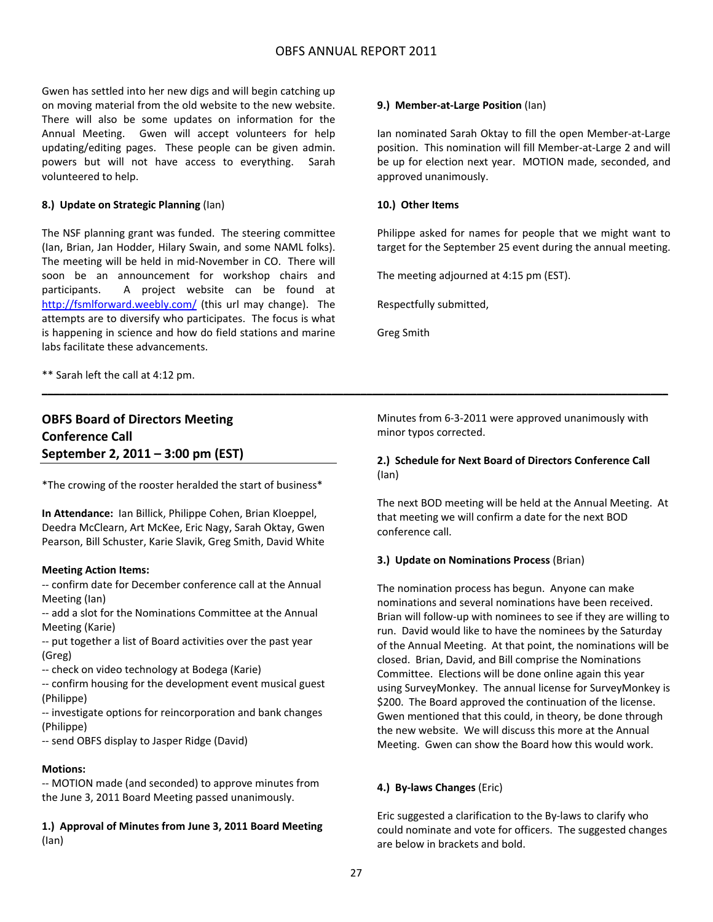Gwen has settled into her new digs and will begin catching up on moving material from the old website to the new website. There will also be some updates on information for the Annual Meeting. Gwen will accept volunteers for help updating/editing pages. These people can be given admin. powers but will not have access to everything. Sarah volunteered to help.

#### **8.) Update on Strategic Planning** (Ian)

The NSF planning grant was funded. The steering committee (Ian, Brian, Jan Hodder, Hilary Swain, and some NAML folks). The meeting will be held in mid‐November in CO. There will soon be an announcement for workshop chairs and participants. A project website can be found at http://fsmlforward.weebly.com/ (this url may change). The attempts are to diversify who participates. The focus is what is happening in science and how do field stations and marine labs facilitate these advancements.

\*\* Sarah left the call at 4:12 pm.

## **OBFS Board of Directors Meeting Conference Call September 2, 2011 – 3:00 pm (EST)**

\*The crowing of the rooster heralded the start of business\*

**In Attendance:** Ian Billick, Philippe Cohen, Brian Kloeppel, Deedra McClearn, Art McKee, Eric Nagy, Sarah Oktay, Gwen Pearson, Bill Schuster, Karie Slavik, Greg Smith, David White

#### **Meeting Action Items:**

‐‐ confirm date for December conference call at the Annual Meeting (Ian)

‐‐ add a slot for the Nominations Committee at the Annual Meeting (Karie)

‐‐ put together a list of Board activities over the past year (Greg)

‐‐ check on video technology at Bodega (Karie)

‐‐ confirm housing for the development event musical guest (Philippe)

‐‐ investigate options for reincorporation and bank changes (Philippe)

‐‐ send OBFS display to Jasper Ridge (David)

#### **Motions:**

‐‐ MOTION made (and seconded) to approve minutes from the June 3, 2011 Board Meeting passed unanimously.

**1.) Approval of Minutes from June 3, 2011 Board Meeting** (Ian)

#### **9.) Member‐at‐Large Position** (Ian)

Ian nominated Sarah Oktay to fill the open Member‐at‐Large position. This nomination will fill Member‐at‐Large 2 and will be up for election next year. MOTION made, seconded, and approved unanimously.

#### **10.) Other Items**

Philippe asked for names for people that we might want to target for the September 25 event during the annual meeting.

The meeting adjourned at 4:15 pm (EST).

Respectfully submitted,

Greg Smith

**\_\_\_\_\_\_\_\_\_\_\_\_\_\_\_\_\_\_\_\_\_\_\_\_\_\_\_\_\_\_\_\_\_\_\_\_\_\_\_\_\_\_\_\_\_\_\_\_\_\_\_\_\_\_\_\_\_\_\_\_\_\_\_\_\_\_\_\_\_\_\_\_\_\_\_\_\_\_\_\_\_\_\_\_\_\_\_\_\_\_\_\_\_\_\_\_\_\_\_\_\_\_\_\_\_\_\_\_**

Minutes from 6‐3‐2011 were approved unanimously with minor typos corrected.

### **2.) Schedule for Next Board of Directors Conference Call** (Ian)

The next BOD meeting will be held at the Annual Meeting. At that meeting we will confirm a date for the next BOD conference call.

#### **3.) Update on Nominations Process** (Brian)

The nomination process has begun. Anyone can make nominations and several nominations have been received. Brian will follow‐up with nominees to see if they are willing to run. David would like to have the nominees by the Saturday of the Annual Meeting. At that point, the nominations will be closed. Brian, David, and Bill comprise the Nominations Committee. Elections will be done online again this year using SurveyMonkey. The annual license for SurveyMonkey is \$200. The Board approved the continuation of the license. Gwen mentioned that this could, in theory, be done through the new website. We will discuss this more at the Annual Meeting. Gwen can show the Board how this would work.

### **4.) By‐laws Changes** (Eric)

Eric suggested a clarification to the By‐laws to clarify who could nominate and vote for officers. The suggested changes are below in brackets and bold.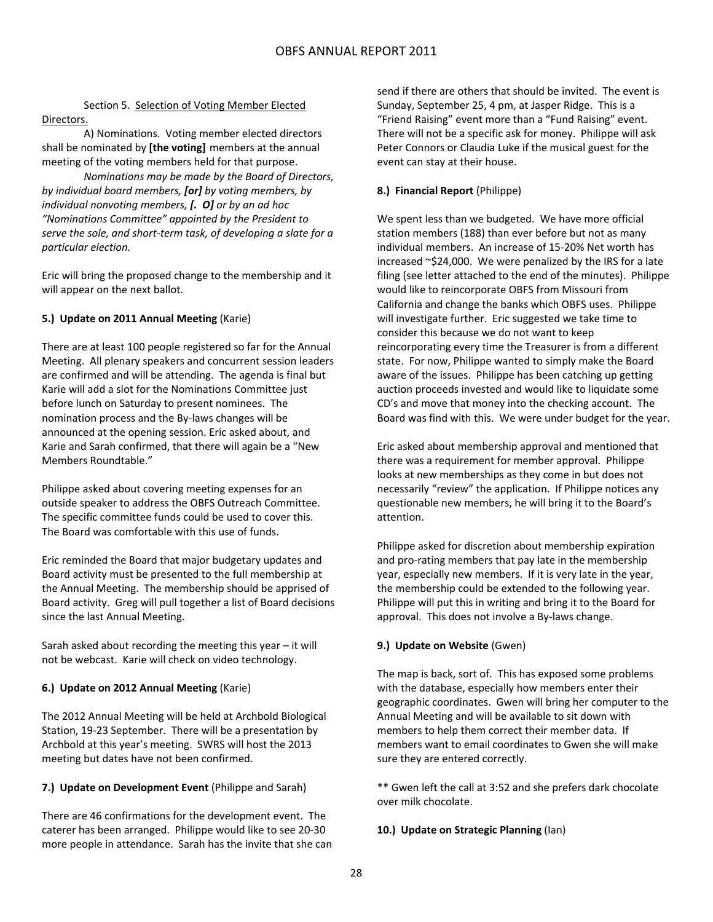### Section 5. Selection of Voting Member Elected Directors.

A) Nominations. Voting member elected directors shall be nominated by **[the voting]** members at the annual meeting of the voting members held for that purpose.

*Nominations may be made by the Board of Directors, by individual board members, [or] by voting members, by individual nonvoting members, [. O] or by an ad hoc "Nominations Committee" appointed by the President to serve the sole, and short‐term task, of developing a slate for a particular election.*

Eric will bring the proposed change to the membership and it will appear on the next ballot.

### **5.) Update on 2011 Annual Meeting** (Karie)

There are at least 100 people registered so far for the Annual Meeting. All plenary speakers and concurrent session leaders are confirmed and will be attending. The agenda is final but Karie will add a slot for the Nominations Committee just before lunch on Saturday to present nominees. The nomination process and the By‐laws changes will be announced at the opening session. Eric asked about, and Karie and Sarah confirmed, that there will again be a "New Members Roundtable."

Philippe asked about covering meeting expenses for an outside speaker to address the OBFS Outreach Committee. The specific committee funds could be used to cover this. The Board was comfortable with this use of funds.

Eric reminded the Board that major budgetary updates and Board activity must be presented to the full membership at the Annual Meeting. The membership should be apprised of Board activity. Greg will pull together a list of Board decisions since the last Annual Meeting.

Sarah asked about recording the meeting this year – it will not be webcast. Karie will check on video technology.

### **6.) Update on 2012 Annual Meeting** (Karie)

The 2012 Annual Meeting will be held at Archbold Biological Station, 19‐23 September. There will be a presentation by Archbold at this year's meeting. SWRS will host the 2013 meeting but dates have not been confirmed.

### **7.) Update on Development Event** (Philippe and Sarah)

There are 46 confirmations for the development event. The caterer has been arranged. Philippe would like to see 20‐30 more people in attendance. Sarah has the invite that she can

send if there are others that should be invited. The event is Sunday, September 25, 4 pm, at Jasper Ridge. This is a "Friend Raising" event more than a "Fund Raising" event. There will not be a specific ask for money. Philippe will ask Peter Connors or Claudia Luke if the musical guest for the event can stay at their house.

### **8.) Financial Report** (Philippe)

We spent less than we budgeted. We have more official station members (188) than ever before but not as many individual members. An increase of 15‐20% Net worth has increased ~\$24,000. We were penalized by the IRS for a late filing (see letter attached to the end of the minutes). Philippe would like to reincorporate OBFS from Missouri from California and change the banks which OBFS uses. Philippe will investigate further. Eric suggested we take time to consider this because we do not want to keep reincorporating every time the Treasurer is from a different state. For now, Philippe wanted to simply make the Board aware of the issues. Philippe has been catching up getting auction proceeds invested and would like to liquidate some CD's and move that money into the checking account. The Board was find with this. We were under budget for the year.

Eric asked about membership approval and mentioned that there was a requirement for member approval. Philippe looks at new memberships as they come in but does not necessarily "review" the application. If Philippe notices any questionable new members, he will bring it to the Board's attention.

Philippe asked for discretion about membership expiration and pro‐rating members that pay late in the membership year, especially new members. If it is very late in the year, the membership could be extended to the following year. Philippe will put this in writing and bring it to the Board for approval. This does not involve a By‐laws change.

### **9.) Update on Website** (Gwen)

The map is back, sort of. This has exposed some problems with the database, especially how members enter their geographic coordinates. Gwen will bring her computer to the Annual Meeting and will be available to sit down with members to help them correct their member data. If members want to email coordinates to Gwen she will make sure they are entered correctly.

\*\* Gwen left the call at 3:52 and she prefers dark chocolate over milk chocolate.

### **10.) Update on Strategic Planning** (Ian)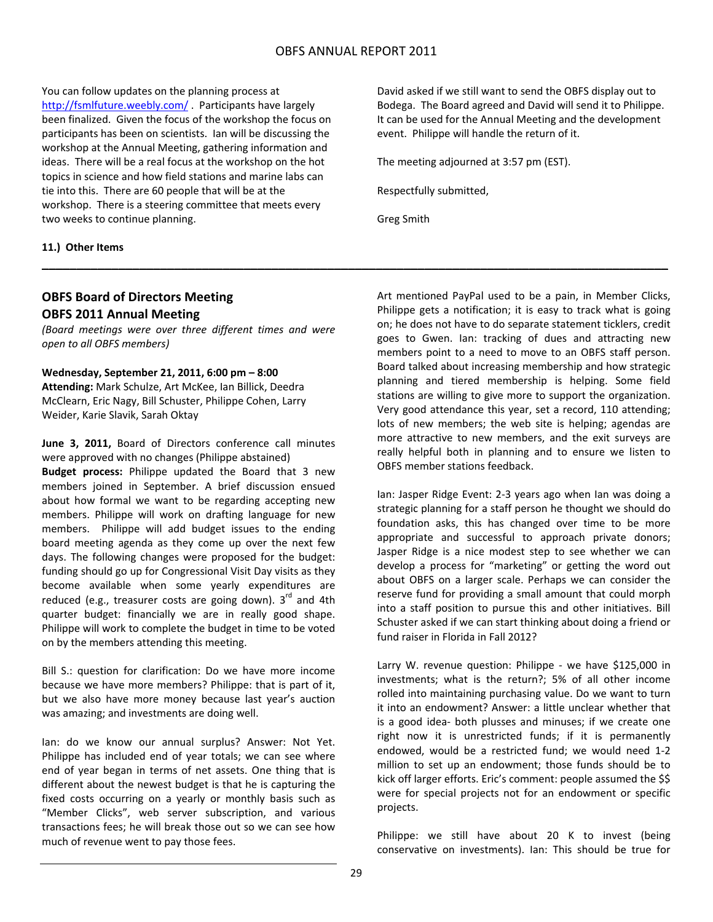**\_\_\_\_\_\_\_\_\_\_\_\_\_\_\_\_\_\_\_\_\_\_\_\_\_\_\_\_\_\_\_\_\_\_\_\_\_\_\_\_\_\_\_\_\_\_\_\_\_\_\_\_\_\_\_\_\_\_\_\_\_\_\_\_\_\_\_\_\_\_\_\_\_\_\_\_\_\_\_\_\_\_\_\_\_\_\_\_\_\_**

You can follow updates on the planning process at http://fsmlfuture.weebly.com/ . Participants have largely been finalized. Given the focus of the workshop the focus on participants has been on scientists. Ian will be discussing the workshop at the Annual Meeting, gathering information and ideas. There will be a real focus at the workshop on the hot topics in science and how field stations and marine labs can tie into this. There are 60 people that will be at the workshop. There is a steering committee that meets every two weeks to continue planning.

### **11.) Other Items**

## **OBFS Board of Directors Meeting OBFS 2011 Annual Meeting**

*(Board meetings were over three different times and were open to all OBFS members)*

### **Wednesday, September 21, 2011, 6:00 pm – 8:00**

**Attending:** Mark Schulze, Art McKee, Ian Billick, Deedra McClearn, Eric Nagy, Bill Schuster, Philippe Cohen, Larry Weider, Karie Slavik, Sarah Oktay

**June 3, 2011,** Board of Directors conference call minutes were approved with no changes (Philippe abstained)

**Budget process:** Philippe updated the Board that 3 new members joined in September. A brief discussion ensued about how formal we want to be regarding accepting new members. Philippe will work on drafting language for new members. Philippe will add budget issues to the ending board meeting agenda as they come up over the next few days. The following changes were proposed for the budget: funding should go up for Congressional Visit Day visits as they become available when some yearly expenditures are reduced (e.g., treasurer costs are going down).  $3^{rd}$  and 4th quarter budget: financially we are in really good shape. Philippe will work to complete the budget in time to be voted on by the members attending this meeting.

Bill S.: question for clarification: Do we have more income because we have more members? Philippe: that is part of it, but we also have more money because last year's auction was amazing; and investments are doing well.

Ian: do we know our annual surplus? Answer: Not Yet. Philippe has included end of year totals; we can see where end of year began in terms of net assets. One thing that is different about the newest budget is that he is capturing the fixed costs occurring on a yearly or monthly basis such as "Member Clicks", web server subscription, and various transactions fees; he will break those out so we can see how much of revenue went to pay those fees.

David asked if we still want to send the OBFS display out to Bodega. The Board agreed and David will send it to Philippe. It can be used for the Annual Meeting and the development event. Philippe will handle the return of it.

The meeting adjourned at 3:57 pm (EST).

Respectfully submitted,

Greg Smith

Art mentioned PayPal used to be a pain, in Member Clicks, Philippe gets a notification; it is easy to track what is going on; he does not have to do separate statement ticklers, credit goes to Gwen. Ian: tracking of dues and attracting new members point to a need to move to an OBFS staff person. Board talked about increasing membership and how strategic planning and tiered membership is helping. Some field stations are willing to give more to support the organization. Very good attendance this year, set a record, 110 attending; lots of new members; the web site is helping; agendas are more attractive to new members, and the exit surveys are really helpful both in planning and to ensure we listen to OBFS member stations feedback.

Ian: Jasper Ridge Event: 2‐3 years ago when Ian was doing a strategic planning for a staff person he thought we should do foundation asks, this has changed over time to be more appropriate and successful to approach private donors; Jasper Ridge is a nice modest step to see whether we can develop a process for "marketing" or getting the word out about OBFS on a larger scale. Perhaps we can consider the reserve fund for providing a small amount that could morph into a staff position to pursue this and other initiatives. Bill Schuster asked if we can start thinking about doing a friend or fund raiser in Florida in Fall 2012?

Larry W. revenue question: Philippe - we have \$125,000 in investments; what is the return?; 5% of all other income rolled into maintaining purchasing value. Do we want to turn it into an endowment? Answer: a little unclear whether that is a good idea‐ both plusses and minuses; if we create one right now it is unrestricted funds; if it is permanently endowed, would be a restricted fund; we would need 1‐2 million to set up an endowment; those funds should be to kick off larger efforts. Eric's comment: people assumed the \$\$ were for special projects not for an endowment or specific projects.

Philippe: we still have about 20 K to invest (being conservative on investments). Ian: This should be true for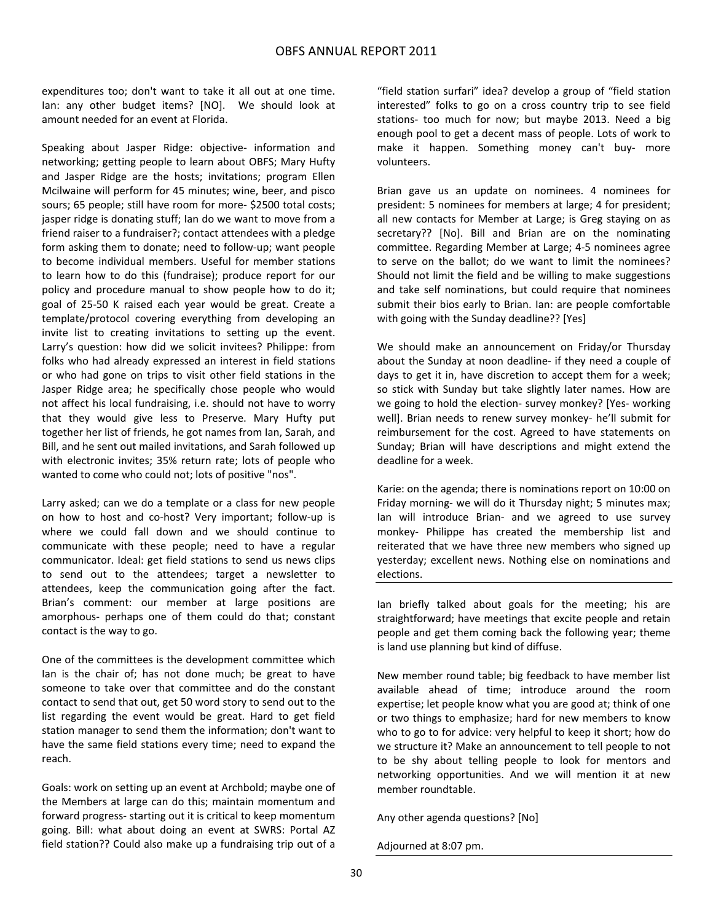expenditures too; don't want to take it all out at one time. Ian: any other budget items? [NO]. We should look at amount needed for an event at Florida.

Speaking about Jasper Ridge: objective- information and networking; getting people to learn about OBFS; Mary Hufty and Jasper Ridge are the hosts; invitations; program Ellen Mcilwaine will perform for 45 minutes; wine, beer, and pisco sours; 65 people; still have room for more‐ \$2500 total costs; jasper ridge is donating stuff; Ian do we want to move from a friend raiser to a fundraiser?; contact attendees with a pledge form asking them to donate; need to follow‐up; want people to become individual members. Useful for member stations to learn how to do this (fundraise); produce report for our policy and procedure manual to show people how to do it; goal of 25‐50 K raised each year would be great. Create a template/protocol covering everything from developing an invite list to creating invitations to setting up the event. Larry's question: how did we solicit invitees? Philippe: from folks who had already expressed an interest in field stations or who had gone on trips to visit other field stations in the Jasper Ridge area; he specifically chose people who would not affect his local fundraising, i.e. should not have to worry that they would give less to Preserve. Mary Hufty put together her list of friends, he got names from Ian, Sarah, and Bill, and he sent out mailed invitations, and Sarah followed up with electronic invites; 35% return rate; lots of people who wanted to come who could not; lots of positive "nos".

Larry asked; can we do a template or a class for new people on how to host and co‐host? Very important; follow‐up is where we could fall down and we should continue to communicate with these people; need to have a regular communicator. Ideal: get field stations to send us news clips to send out to the attendees; target a newsletter to attendees, keep the communication going after the fact. Brian's comment: our member at large positions are amorphous‐ perhaps one of them could do that; constant contact is the way to go.

One of the committees is the development committee which Ian is the chair of; has not done much; be great to have someone to take over that committee and do the constant contact to send that out, get 50 word story to send out to the list regarding the event would be great. Hard to get field station manager to send them the information; don't want to have the same field stations every time; need to expand the reach.

Goals: work on setting up an event at Archbold; maybe one of the Members at large can do this; maintain momentum and forward progress‐ starting out it is critical to keep momentum going. Bill: what about doing an event at SWRS: Portal AZ field station?? Could also make up a fundraising trip out of a

"field station surfari" idea? develop a group of "field station interested" folks to go on a cross country trip to see field stations- too much for now; but maybe 2013. Need a big enough pool to get a decent mass of people. Lots of work to make it happen. Something money can't buy‐ more volunteers.

Brian gave us an update on nominees. 4 nominees for president: 5 nominees for members at large; 4 for president; all new contacts for Member at Large; is Greg staying on as secretary?? [No]. Bill and Brian are on the nominating committee. Regarding Member at Large; 4‐5 nominees agree to serve on the ballot; do we want to limit the nominees? Should not limit the field and be willing to make suggestions and take self nominations, but could require that nominees submit their bios early to Brian. Ian: are people comfortable with going with the Sunday deadline?? [Yes]

We should make an announcement on Friday/or Thursday about the Sunday at noon deadline‐ if they need a couple of days to get it in, have discretion to accept them for a week; so stick with Sunday but take slightly later names. How are we going to hold the election‐ survey monkey? [Yes‐ working well]. Brian needs to renew survey monkey‐ he'll submit for reimbursement for the cost. Agreed to have statements on Sunday; Brian will have descriptions and might extend the deadline for a week.

Karie: on the agenda; there is nominations report on 10:00 on Friday morning‐ we will do it Thursday night; 5 minutes max; Ian will introduce Brian‐ and we agreed to use survey monkey‐ Philippe has created the membership list and reiterated that we have three new members who signed up yesterday; excellent news. Nothing else on nominations and elections.

Ian briefly talked about goals for the meeting; his are straightforward; have meetings that excite people and retain people and get them coming back the following year; theme is land use planning but kind of diffuse.

New member round table; big feedback to have member list available ahead of time; introduce around the room expertise; let people know what you are good at; think of one or two things to emphasize; hard for new members to know who to go to for advice: very helpful to keep it short; how do we structure it? Make an announcement to tell people to not to be shy about telling people to look for mentors and networking opportunities. And we will mention it at new member roundtable.

Any other agenda questions? [No]

Adjourned at 8:07 pm.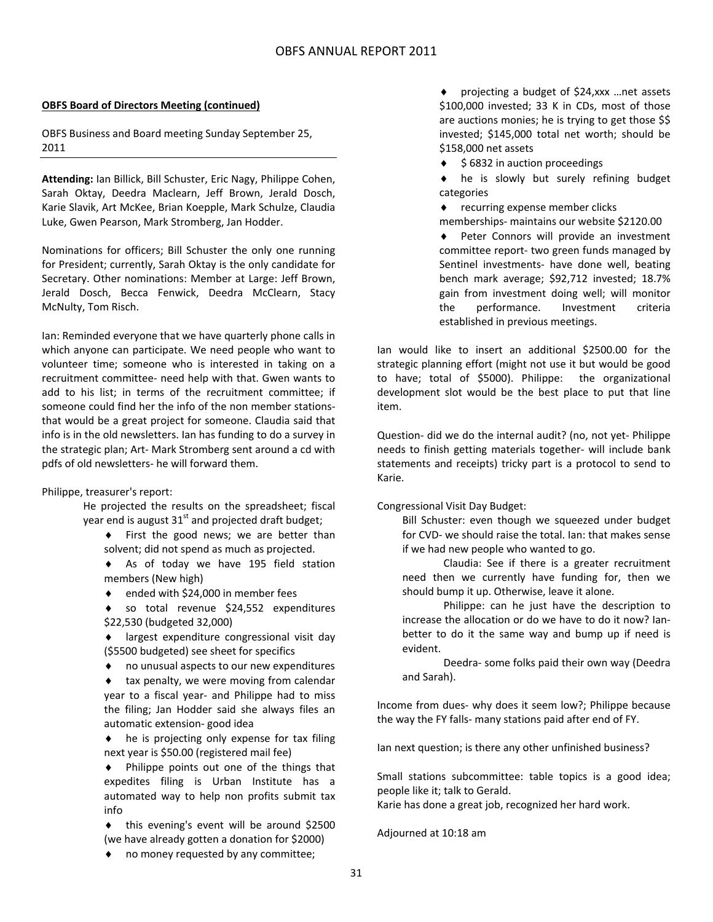### **OBFS Board of Directors Meeting (continued)**

OBFS Business and Board meeting Sunday September 25, 2011

**Attending:** Ian Billick, Bill Schuster, Eric Nagy, Philippe Cohen, Sarah Oktay, Deedra Maclearn, Jeff Brown, Jerald Dosch, Karie Slavik, Art McKee, Brian Koepple, Mark Schulze, Claudia Luke, Gwen Pearson, Mark Stromberg, Jan Hodder.

Nominations for officers; Bill Schuster the only one running for President; currently, Sarah Oktay is the only candidate for Secretary. Other nominations: Member at Large: Jeff Brown, Jerald Dosch, Becca Fenwick, Deedra McClearn, Stacy McNulty, Tom Risch.

Ian: Reminded everyone that we have quarterly phone calls in which anyone can participate. We need people who want to volunteer time; someone who is interested in taking on a recruitment committee‐ need help with that. Gwen wants to add to his list; in terms of the recruitment committee; if someone could find her the info of the non member stations‐ that would be a great project for someone. Claudia said that info is in the old newsletters. Ian has funding to do a survey in the strategic plan; Art‐ Mark Stromberg sent around a cd with pdfs of old newsletters‐ he will forward them.

### Philippe, treasurer's report:

He projected the results on the spreadsheet; fiscal year end is august  $31<sup>st</sup>$  and projected draft budget;

- ◆ First the good news; we are better than solvent; did not spend as much as projected.
- As of today we have 195 field station members (New high)
- ◆ ended with \$24,000 in member fees
- so total revenue \$24,552 expenditures \$22,530 (budgeted 32,000)
- largest expenditure congressional visit day (\$5500 budgeted) see sheet for specifics
- no unusual aspects to our new expenditures

 tax penalty, we were moving from calendar year to a fiscal year- and Philippe had to miss the filing; Jan Hodder said she always files an automatic extension‐ good idea

 $\bullet$  he is projecting only expense for tax filing next year is \$50.00 (registered mail fee)

 Philippe points out one of the things that expedites filing is Urban Institute has a automated way to help non profits submit tax info

 this evening's event will be around \$2500 (we have already gotten a donation for \$2000)

 projecting a budget of \$24,xxx …net assets \$100,000 invested; 33 K in CDs, most of those are auctions monies; he is trying to get those \$\$ invested; \$145,000 total net worth; should be \$158,000 net assets

\$6832 in auction proceedings

 he is slowly but surely refining budget categories

◆ recurring expense member clicks

memberships‐ maintains our website \$2120.00

 Peter Connors will provide an investment committee report‐ two green funds managed by Sentinel investments‐ have done well, beating bench mark average; \$92,712 invested; 18.7% gain from investment doing well; will monitor the performance. Investment criteria established in previous meetings.

Ian would like to insert an additional \$2500.00 for the strategic planning effort (might not use it but would be good to have; total of \$5000). Philippe: the organizational development slot would be the best place to put that line item.

Question‐ did we do the internal audit? (no, not yet‐ Philippe needs to finish getting materials together‐ will include bank statements and receipts) tricky part is a protocol to send to Karie.

Congressional Visit Day Budget:

Bill Schuster: even though we squeezed under budget for CVD‐ we should raise the total. Ian: that makes sense if we had new people who wanted to go.

Claudia: See if there is a greater recruitment need then we currently have funding for, then we should bump it up. Otherwise, leave it alone.

Philippe: can he just have the description to increase the allocation or do we have to do it now? Ian‐ better to do it the same way and bump up if need is evident.

Deedra‐ some folks paid their own way (Deedra and Sarah).

Income from dues‐ why does it seem low?; Philippe because the way the FY falls‐ many stations paid after end of FY.

Ian next question; is there any other unfinished business?

Small stations subcommittee: table topics is a good idea; people like it; talk to Gerald.

Karie has done a great job, recognized her hard work.

Adjourned at 10:18 am

◆ no money requested by any committee;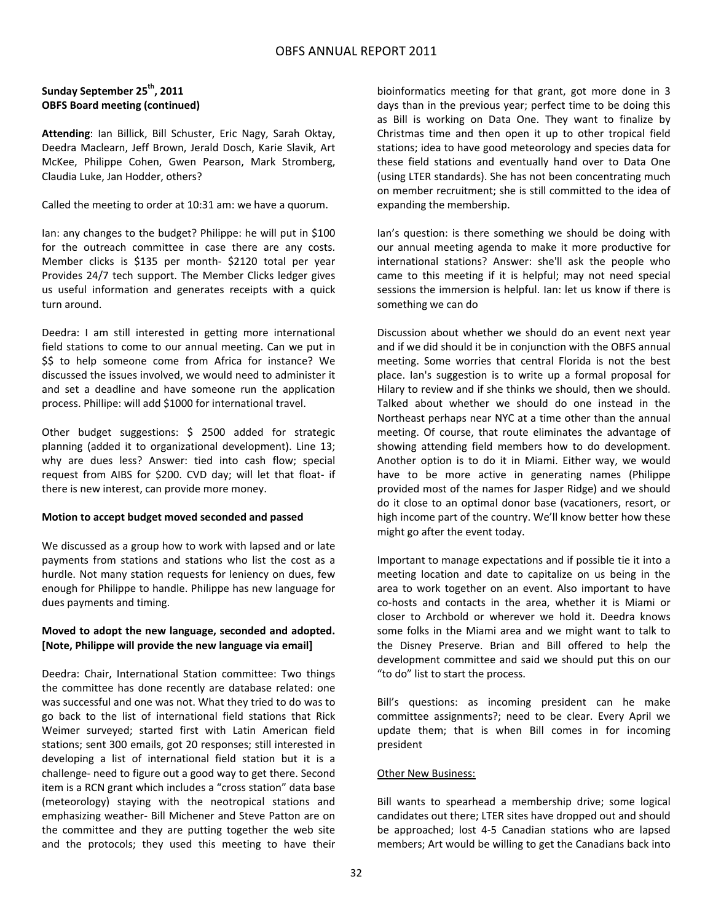### **Sunday September 25th, 2011 OBFS Board meeting (continued)**

**Attending**: Ian Billick, Bill Schuster, Eric Nagy, Sarah Oktay, Deedra Maclearn, Jeff Brown, Jerald Dosch, Karie Slavik, Art McKee, Philippe Cohen, Gwen Pearson, Mark Stromberg, Claudia Luke, Jan Hodder, others?

Called the meeting to order at 10:31 am: we have a quorum.

Ian: any changes to the budget? Philippe: he will put in \$100 for the outreach committee in case there are any costs. Member clicks is \$135 per month- \$2120 total per year Provides 24/7 tech support. The Member Clicks ledger gives us useful information and generates receipts with a quick turn around.

Deedra: I am still interested in getting more international field stations to come to our annual meeting. Can we put in \$\$ to help someone come from Africa for instance? We discussed the issues involved, we would need to administer it and set a deadline and have someone run the application process. Phillipe: will add \$1000 for international travel.

Other budget suggestions: \$ 2500 added for strategic planning (added it to organizational development). Line 13; why are dues less? Answer: tied into cash flow; special request from AIBS for \$200. CVD day; will let that float‐ if there is new interest, can provide more money.

### **Motion to accept budget moved seconded and passed**

We discussed as a group how to work with lapsed and or late payments from stations and stations who list the cost as a hurdle. Not many station requests for leniency on dues, few enough for Philippe to handle. Philippe has new language for dues payments and timing.

### **Moved to adopt the new language, seconded and adopted. [Note, Philippe will provide the new language via email]**

Deedra: Chair, International Station committee: Two things the committee has done recently are database related: one was successful and one was not. What they tried to do was to go back to the list of international field stations that Rick Weimer surveyed; started first with Latin American field stations; sent 300 emails, got 20 responses; still interested in developing a list of international field station but it is a challenge‐ need to figure out a good way to get there. Second item is a RCN grant which includes a "cross station" data base (meteorology) staying with the neotropical stations and emphasizing weather‐ Bill Michener and Steve Patton are on the committee and they are putting together the web site and the protocols; they used this meeting to have their bioinformatics meeting for that grant, got more done in 3 days than in the previous year; perfect time to be doing this as Bill is working on Data One. They want to finalize by Christmas time and then open it up to other tropical field stations; idea to have good meteorology and species data for these field stations and eventually hand over to Data One (using LTER standards). She has not been concentrating much on member recruitment; she is still committed to the idea of expanding the membership.

Ian's question: is there something we should be doing with our annual meeting agenda to make it more productive for international stations? Answer: she'll ask the people who came to this meeting if it is helpful; may not need special sessions the immersion is helpful. Ian: let us know if there is something we can do

Discussion about whether we should do an event next year and if we did should it be in conjunction with the OBFS annual meeting. Some worries that central Florida is not the best place. Ian's suggestion is to write up a formal proposal for Hilary to review and if she thinks we should, then we should. Talked about whether we should do one instead in the Northeast perhaps near NYC at a time other than the annual meeting. Of course, that route eliminates the advantage of showing attending field members how to do development. Another option is to do it in Miami. Either way, we would have to be more active in generating names (Philippe provided most of the names for Jasper Ridge) and we should do it close to an optimal donor base (vacationers, resort, or high income part of the country. We'll know better how these might go after the event today.

Important to manage expectations and if possible tie it into a meeting location and date to capitalize on us being in the area to work together on an event. Also important to have co‐hosts and contacts in the area, whether it is Miami or closer to Archbold or wherever we hold it. Deedra knows some folks in the Miami area and we might want to talk to the Disney Preserve. Brian and Bill offered to help the development committee and said we should put this on our "to do" list to start the process.

Bill's questions: as incoming president can he make committee assignments?; need to be clear. Every April we update them; that is when Bill comes in for incoming president

### Other New Business:

Bill wants to spearhead a membership drive; some logical candidates out there; LTER sites have dropped out and should be approached; lost 4‐5 Canadian stations who are lapsed members; Art would be willing to get the Canadians back into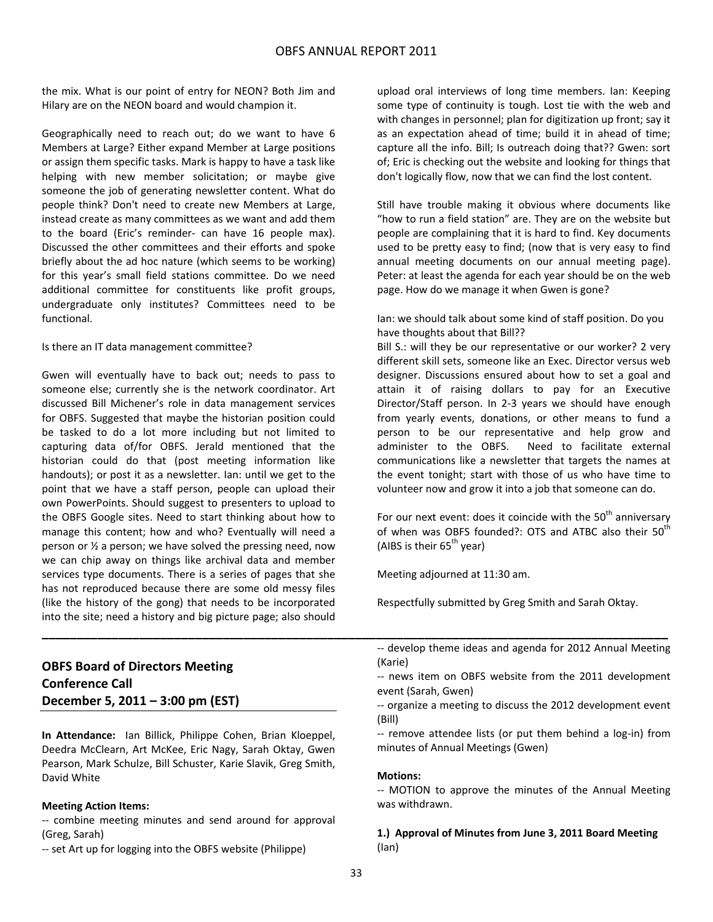the mix. What is our point of entry for NEON? Both Jim and Hilary are on the NEON board and would champion it.

Geographically need to reach out; do we want to have 6 Members at Large? Either expand Member at Large positions or assign them specific tasks. Mark is happy to have a task like helping with new member solicitation; or maybe give someone the job of generating newsletter content. What do people think? Don't need to create new Members at Large, instead create as many committees as we want and add them to the board (Eric's reminder‐ can have 16 people max). Discussed the other committees and their efforts and spoke briefly about the ad hoc nature (which seems to be working) for this year's small field stations committee. Do we need additional committee for constituents like profit groups, undergraduate only institutes? Committees need to be functional.

#### Is there an IT data management committee?

Gwen will eventually have to back out; needs to pass to someone else; currently she is the network coordinator. Art discussed Bill Michener's role in data management services for OBFS. Suggested that maybe the historian position could be tasked to do a lot more including but not limited to capturing data of/for OBFS. Jerald mentioned that the historian could do that (post meeting information like handouts); or post it as a newsletter. Ian: until we get to the point that we have a staff person, people can upload their own PowerPoints. Should suggest to presenters to upload to the OBFS Google sites. Need to start thinking about how to manage this content; how and who? Eventually will need a person or ½ a person; we have solved the pressing need, now we can chip away on things like archival data and member services type documents. There is a series of pages that she has not reproduced because there are some old messy files (like the history of the gong) that needs to be incorporated into the site; need a history and big picture page; also should upload oral interviews of long time members. Ian: Keeping some type of continuity is tough. Lost tie with the web and with changes in personnel; plan for digitization up front; say it as an expectation ahead of time; build it in ahead of time; capture all the info. Bill; Is outreach doing that?? Gwen: sort of; Eric is checking out the website and looking for things that don't logically flow, now that we can find the lost content.

Still have trouble making it obvious where documents like "how to run a field station" are. They are on the website but people are complaining that it is hard to find. Key documents used to be pretty easy to find; (now that is very easy to find annual meeting documents on our annual meeting page). Peter: at least the agenda for each year should be on the web page. How do we manage it when Gwen is gone?

Ian: we should talk about some kind of staff position. Do you have thoughts about that Bill??

Bill S.: will they be our representative or our worker? 2 very different skill sets, someone like an Exec. Director versus web designer. Discussions ensured about how to set a goal and attain it of raising dollars to pay for an Executive Director/Staff person. In 2‐3 years we should have enough from yearly events, donations, or other means to fund a person to be our representative and help grow and administer to the OBFS. Need to facilitate external communications like a newsletter that targets the names at the event tonight; start with those of us who have time to volunteer now and grow it into a job that someone can do.

For our next event: does it coincide with the  $50<sup>th</sup>$  anniversary of when was OBFS founded?: OTS and ATBC also their 50<sup>th</sup> (AIBS is their  $65<sup>th</sup>$  year)

Meeting adjourned at 11:30 am.

Respectfully submitted by Greg Smith and Sarah Oktay.

## **OBFS Board of Directors Meeting Conference Call December 5, 2011 – 3:00 pm (EST)**

**In Attendance:** Ian Billick, Philippe Cohen, Brian Kloeppel, Deedra McClearn, Art McKee, Eric Nagy, Sarah Oktay, Gwen Pearson, Mark Schulze, Bill Schuster, Karie Slavik, Greg Smith, David White

#### **Meeting Action Items:**

‐‐ combine meeting minutes and send around for approval (Greg, Sarah)

‐‐ set Art up for logging into the OBFS website (Philippe)

‐‐ develop theme ideas and agenda for 2012 Annual Meeting (Karie)

‐‐ news item on OBFS website from the 2011 development event (Sarah, Gwen)

‐‐ remove attendee lists (or put them behind a log‐in) from minutes of Annual Meetings (Gwen)

#### **Motions:**

‐‐ MOTION to approve the minutes of the Annual Meeting was withdrawn.

**1.) Approval of Minutes from June 3, 2011 Board Meeting** (Ian)

**\_\_\_\_\_\_\_\_\_\_\_\_\_\_\_\_\_\_\_\_\_\_\_\_\_\_\_\_\_\_\_\_\_\_\_\_\_\_\_\_\_\_\_\_\_\_\_\_\_\_\_\_\_\_\_\_\_\_\_\_\_\_\_\_\_\_\_\_\_\_\_\_\_\_\_\_\_\_\_\_\_\_\_\_\_\_\_\_\_\_**

<sup>‐‐</sup> organize a meeting to discuss the 2012 development event (Bill)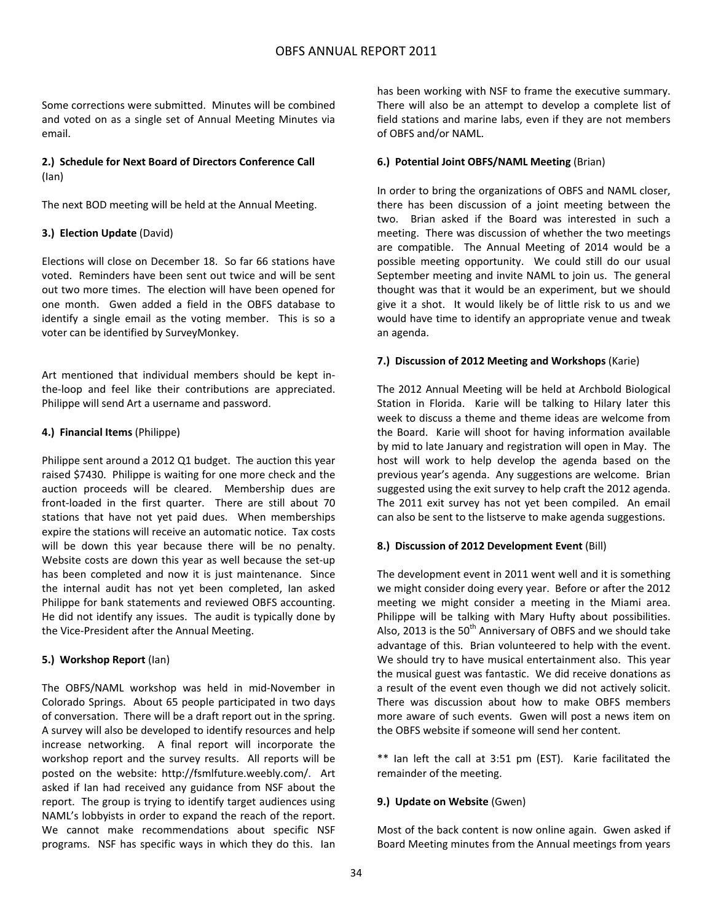Some corrections were submitted. Minutes will be combined and voted on as a single set of Annual Meeting Minutes via email.

### **2.) Schedule for Next Board of Directors Conference Call** (Ian)

The next BOD meeting will be held at the Annual Meeting.

### **3.) Election Update** (David)

Elections will close on December 18. So far 66 stations have voted. Reminders have been sent out twice and will be sent out two more times. The election will have been opened for one month. Gwen added a field in the OBFS database to identify a single email as the voting member. This is so a voter can be identified by SurveyMonkey.

Art mentioned that individual members should be kept in‐ the‐loop and feel like their contributions are appreciated. Philippe will send Art a username and password.

### **4.) Financial Items** (Philippe)

Philippe sent around a 2012 Q1 budget. The auction this year raised \$7430. Philippe is waiting for one more check and the auction proceeds will be cleared. Membership dues are front-loaded in the first quarter. There are still about 70 stations that have not yet paid dues. When memberships expire the stations will receive an automatic notice. Tax costs will be down this year because there will be no penalty. Website costs are down this year as well because the set-up has been completed and now it is just maintenance. Since the internal audit has not yet been completed, Ian asked Philippe for bank statements and reviewed OBFS accounting. He did not identify any issues. The audit is typically done by the Vice‐President after the Annual Meeting.

### **5.) Workshop Report** (Ian)

The OBFS/NAML workshop was held in mid‐November in Colorado Springs. About 65 people participated in two days of conversation. There will be a draft report out in the spring. A survey will also be developed to identify resources and help increase networking. A final report will incorporate the workshop report and the survey results. All reports will be posted on the website: http://fsmlfuture.weebly.com/. Art asked if Ian had received any guidance from NSF about the report. The group is trying to identify target audiences using NAML's lobbyists in order to expand the reach of the report. We cannot make recommendations about specific NSF programs. NSF has specific ways in which they do this. Ian has been working with NSF to frame the executive summary. There will also be an attempt to develop a complete list of field stations and marine labs, even if they are not members of OBFS and/or NAML.

### **6.) Potential Joint OBFS/NAML Meeting** (Brian)

In order to bring the organizations of OBFS and NAML closer, there has been discussion of a joint meeting between the two. Brian asked if the Board was interested in such a meeting. There was discussion of whether the two meetings are compatible. The Annual Meeting of 2014 would be a possible meeting opportunity. We could still do our usual September meeting and invite NAML to join us. The general thought was that it would be an experiment, but we should give it a shot. It would likely be of little risk to us and we would have time to identify an appropriate venue and tweak an agenda.

### **7.) Discussion of 2012 Meeting and Workshops** (Karie)

The 2012 Annual Meeting will be held at Archbold Biological Station in Florida. Karie will be talking to Hilary later this week to discuss a theme and theme ideas are welcome from the Board. Karie will shoot for having information available by mid to late January and registration will open in May. The host will work to help develop the agenda based on the previous year's agenda. Any suggestions are welcome. Brian suggested using the exit survey to help craft the 2012 agenda. The 2011 exit survey has not yet been compiled. An email can also be sent to the listserve to make agenda suggestions.

### **8.) Discussion of 2012 Development Event** (Bill)

The development event in 2011 went well and it is something we might consider doing every year. Before or after the 2012 meeting we might consider a meeting in the Miami area. Philippe will be talking with Mary Hufty about possibilities. Also, 2013 is the  $50<sup>th</sup>$  Anniversary of OBFS and we should take advantage of this. Brian volunteered to help with the event. We should try to have musical entertainment also. This year the musical guest was fantastic. We did receive donations as a result of the event even though we did not actively solicit. There was discussion about how to make OBFS members more aware of such events. Gwen will post a news item on the OBFS website if someone will send her content.

\*\* Ian left the call at 3:51 pm (EST). Karie facilitated the remainder of the meeting.

### **9.) Update on Website** (Gwen)

Most of the back content is now online again. Gwen asked if Board Meeting minutes from the Annual meetings from years